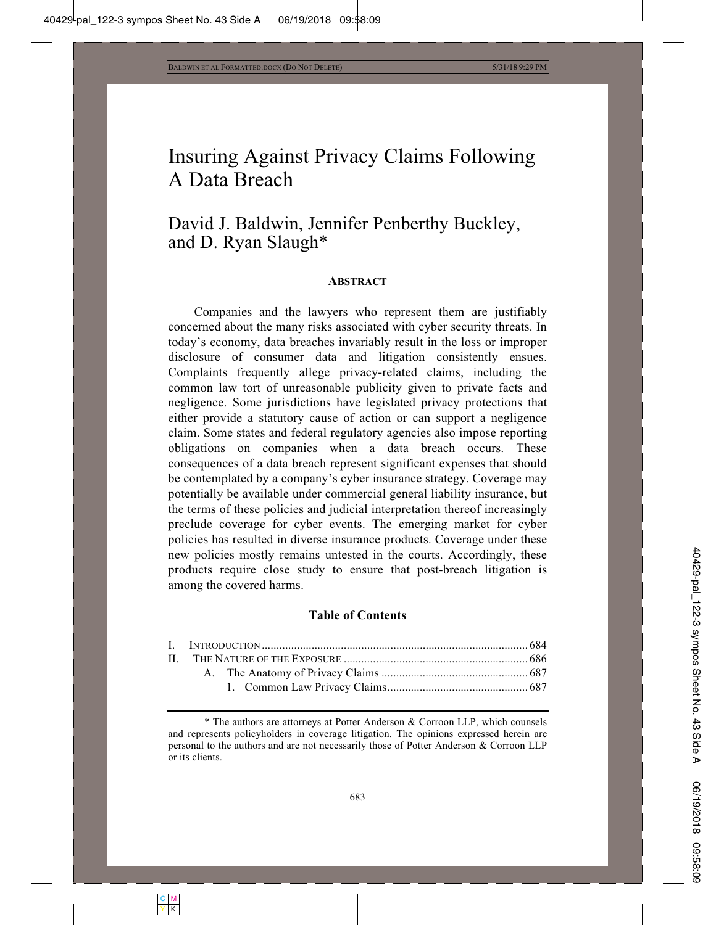# Insuring Against Privacy Claims Following A Data Breach

# David J. Baldwin, Jennifer Penberthy Buckley, and D. Ryan Slaugh\*

#### **ABSTRACT**

Companies and the lawyers who represent them are justifiably concerned about the many risks associated with cyber security threats. In today's economy, data breaches invariably result in the loss or improper disclosure of consumer data and litigation consistently ensues. Complaints frequently allege privacy-related claims, including the common law tort of unreasonable publicity given to private facts and negligence. Some jurisdictions have legislated privacy protections that either provide a statutory cause of action or can support a negligence claim. Some states and federal regulatory agencies also impose reporting obligations on companies when a data breach occurs. These consequences of a data breach represent significant expenses that should be contemplated by a company's cyber insurance strategy. Coverage may potentially be available under commercial general liability insurance, but the terms of these policies and judicial interpretation thereof increasingly preclude coverage for cyber events. The emerging market for cyber policies has resulted in diverse insurance products. Coverage under these new policies mostly remains untested in the courts. Accordingly, these products require close study to ensure that post-breach litigation is among the covered harms.

#### **Table of Contents**

 <sup>\*</sup> The authors are attorneys at Potter Anderson & Corroon LLP, which counsels and represents policyholders in coverage litigation. The opinions expressed herein are personal to the authors and are not necessarily those of Potter Anderson & Corroon LLP or its clients.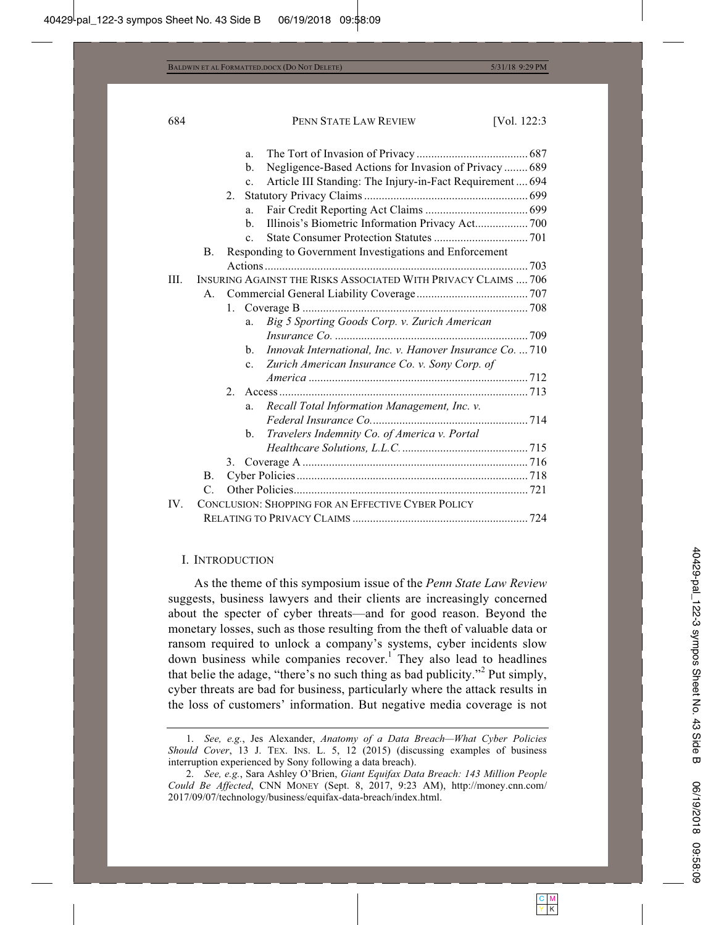|      |                                                    |                                                         | a.             |                                                                |  |
|------|----------------------------------------------------|---------------------------------------------------------|----------------|----------------------------------------------------------------|--|
|      |                                                    |                                                         | b.             | Negligence-Based Actions for Invasion of Privacy  689          |  |
|      |                                                    |                                                         | $\mathbf{c}$ . | Article III Standing: The Injury-in-Fact Requirement 694       |  |
|      |                                                    | 2.                                                      |                |                                                                |  |
|      |                                                    |                                                         | a.             |                                                                |  |
|      |                                                    |                                                         | b.             | Illinois's Biometric Information Privacy Act 700               |  |
|      |                                                    |                                                         | $\mathbf{c}$ . |                                                                |  |
|      | B.                                                 | Responding to Government Investigations and Enforcement |                |                                                                |  |
|      |                                                    |                                                         |                |                                                                |  |
| III. |                                                    |                                                         |                | INSURING AGAINST THE RISKS ASSOCIATED WITH PRIVACY CLAIMS  706 |  |
|      | A.                                                 |                                                         |                |                                                                |  |
|      |                                                    | 1.                                                      |                |                                                                |  |
|      |                                                    |                                                         | a.             | Big 5 Sporting Goods Corp. v. Zurich American                  |  |
|      |                                                    |                                                         |                |                                                                |  |
|      |                                                    |                                                         | b.             | Innovak International, Inc. v. Hanover Insurance Co.  710      |  |
|      |                                                    |                                                         | $\mathbf{c}$ . | Zurich American Insurance Co. v. Sony Corp. of                 |  |
|      |                                                    |                                                         |                |                                                                |  |
|      |                                                    |                                                         |                |                                                                |  |
|      |                                                    |                                                         | a.             | Recall Total Information Management, Inc. v.                   |  |
|      |                                                    |                                                         |                |                                                                |  |
|      |                                                    |                                                         | b.             | Travelers Indemnity Co. of America v. Portal                   |  |
|      |                                                    |                                                         |                |                                                                |  |
|      |                                                    | 3.                                                      |                |                                                                |  |
|      | <b>B.</b>                                          |                                                         |                |                                                                |  |
|      | $C_{\cdot}$                                        |                                                         |                |                                                                |  |
| IV.  | CONCLUSION: SHOPPING FOR AN EFFECTIVE CYBER POLICY |                                                         |                |                                                                |  |
|      |                                                    |                                                         |                |                                                                |  |
|      |                                                    |                                                         |                |                                                                |  |

# I. INTRODUCTION

As the theme of this symposium issue of the *Penn State Law Review* suggests, business lawyers and their clients are increasingly concerned about the specter of cyber threats—and for good reason. Beyond the monetary losses, such as those resulting from the theft of valuable data or ransom required to unlock a company's systems, cyber incidents slow down business while companies recover.<sup>1</sup> They also lead to headlines that belie the adage, "there's no such thing as bad publicity."<sup>2</sup> Put simply, cyber threats are bad for business, particularly where the attack results in the loss of customers' information. But negative media coverage is not

 <sup>1.</sup> *See, e.g.*, Jes Alexander, *Anatomy of a Data Breach—What Cyber Policies Should Cover*, 13 J. TEX. INS. L. 5, 12 (2015) (discussing examples of business interruption experienced by Sony following a data breach).

 <sup>2.</sup> *See, e.g.*, Sara Ashley O'Brien, *Giant Equifax Data Breach: 143 Million People Could Be Affected*, CNN MONEY (Sept. 8, 2017, 9:23 AM), http://money.cnn.com/ 2017/09/07/technology/business/equifax-data-breach/index.html.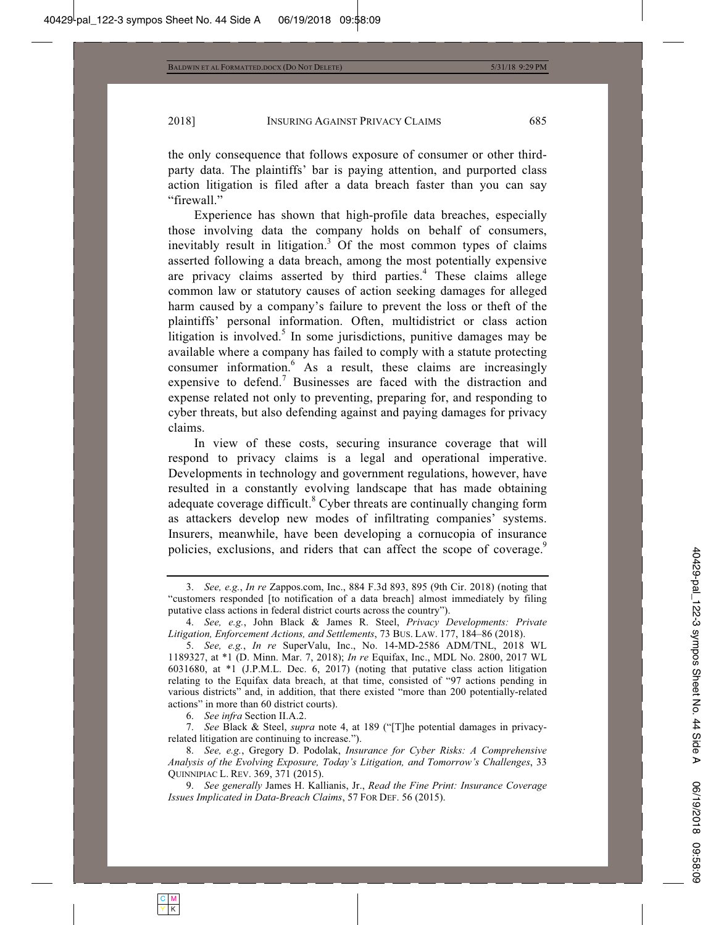the only consequence that follows exposure of consumer or other thirdparty data. The plaintiffs' bar is paying attention, and purported class action litigation is filed after a data breach faster than you can say "firewall."

Experience has shown that high-profile data breaches, especially those involving data the company holds on behalf of consumers, inevitably result in litigation.<sup>3</sup> Of the most common types of claims asserted following a data breach, among the most potentially expensive are privacy claims asserted by third parties.<sup>4</sup> These claims allege common law or statutory causes of action seeking damages for alleged harm caused by a company's failure to prevent the loss or theft of the plaintiffs' personal information. Often, multidistrict or class action litigation is involved.<sup>5</sup> In some jurisdictions, punitive damages may be available where a company has failed to comply with a statute protecting consumer information.<sup>6</sup> As a result, these claims are increasingly expensive to defend.<sup>7</sup> Businesses are faced with the distraction and expense related not only to preventing, preparing for, and responding to cyber threats, but also defending against and paying damages for privacy claims.

In view of these costs, securing insurance coverage that will respond to privacy claims is a legal and operational imperative. Developments in technology and government regulations, however, have resulted in a constantly evolving landscape that has made obtaining adequate coverage difficult.<sup>8</sup> Cyber threats are continually changing form as attackers develop new modes of infiltrating companies' systems. Insurers, meanwhile, have been developing a cornucopia of insurance policies, exclusions, and riders that can affect the scope of coverage.<sup>9</sup>

 <sup>3.</sup> *See, e.g.*, *In re* Zappos.com, Inc., 884 F.3d 893, 895 (9th Cir. 2018) (noting that "customers responded [to notification of a data breach] almost immediately by filing putative class actions in federal district courts across the country").

 <sup>4.</sup> *See, e.g.*, John Black & James R. Steel, *Privacy Developments: Private Litigation, Enforcement Actions, and Settlements*, 73 BUS. LAW. 177, 184–86 (2018).

 <sup>5.</sup> *See, e.g.*, *In re* SuperValu, Inc., No. 14-MD-2586 ADM/TNL, 2018 WL 1189327, at \*1 (D. Minn. Mar. 7, 2018); *In re* Equifax, Inc., MDL No. 2800, 2017 WL 6031680, at \*1 (J.P.M.L. Dec. 6, 2017) (noting that putative class action litigation relating to the Equifax data breach, at that time, consisted of "97 actions pending in various districts" and, in addition, that there existed "more than 200 potentially-related actions" in more than 60 district courts).

 <sup>6.</sup> *See infra* Section II.A.2.

 <sup>7.</sup> *See* Black & Steel, *supra* note 4, at 189 ("[T]he potential damages in privacyrelated litigation are continuing to increase.").

 <sup>8.</sup> *See, e.g.*, Gregory D. Podolak, *Insurance for Cyber Risks: A Comprehensive Analysis of the Evolving Exposure, Today's Litigation, and Tomorrow's Challenges*, 33 QUINNIPIAC L. REV. 369, 371 (2015).

 <sup>9.</sup> *See generally* James H. Kallianis, Jr., *Read the Fine Print: Insurance Coverage Issues Implicated in Data-Breach Claims*, 57 FOR DEF. 56 (2015).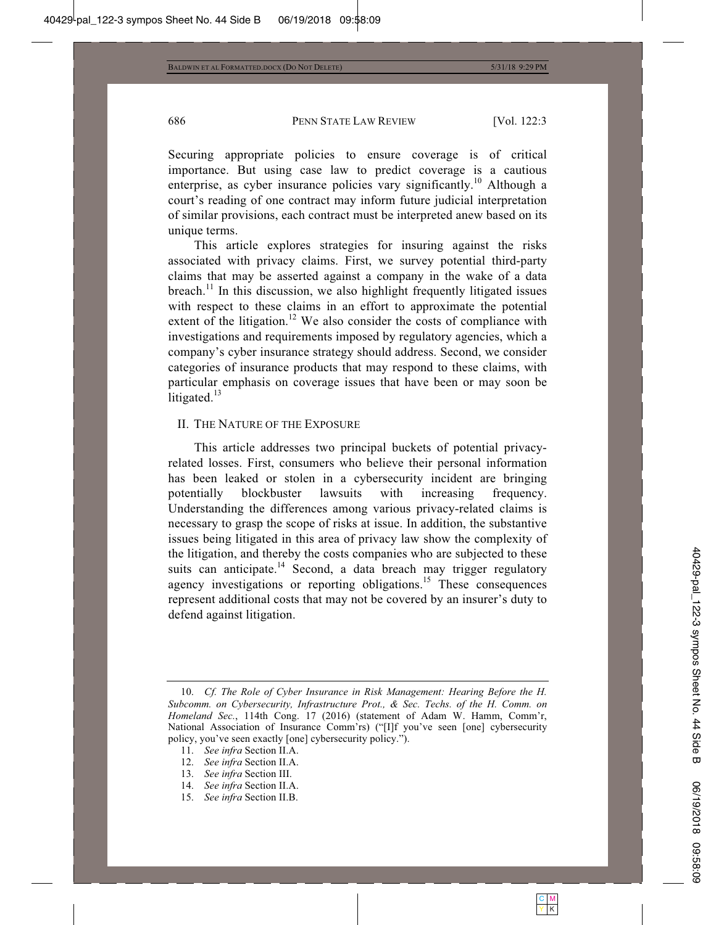Securing appropriate policies to ensure coverage is of critical importance. But using case law to predict coverage is a cautious enterprise, as cyber insurance policies vary significantly.<sup>10</sup> Although a court's reading of one contract may inform future judicial interpretation of similar provisions, each contract must be interpreted anew based on its unique terms.

This article explores strategies for insuring against the risks associated with privacy claims. First, we survey potential third-party claims that may be asserted against a company in the wake of a data breach.<sup>11</sup> In this discussion, we also highlight frequently litigated issues with respect to these claims in an effort to approximate the potential extent of the litigation.<sup>12</sup> We also consider the costs of compliance with investigations and requirements imposed by regulatory agencies, which a company's cyber insurance strategy should address. Second, we consider categories of insurance products that may respond to these claims, with particular emphasis on coverage issues that have been or may soon be litigated. $13$ 

#### II. THE NATURE OF THE EXPOSURE

This article addresses two principal buckets of potential privacyrelated losses. First, consumers who believe their personal information has been leaked or stolen in a cybersecurity incident are bringing potentially blockbuster lawsuits with increasing frequency. Understanding the differences among various privacy-related claims is necessary to grasp the scope of risks at issue. In addition, the substantive issues being litigated in this area of privacy law show the complexity of the litigation, and thereby the costs companies who are subjected to these suits can anticipate.<sup>14</sup> Second, a data breach may trigger regulatory agency investigations or reporting obligations.<sup>15</sup> These consequences represent additional costs that may not be covered by an insurer's duty to defend against litigation.

- 11. *See infra* Section II.A.
- 12. *See infra* Section II.A.
- 13. *See infra* Section III.
- 14. *See infra* Section II.A.
- 15. *See infra* Section II.B.

<sup>10.</sup> *Cf. The Role of Cyber Insurance in Risk Management: Hearing Before the H. Subcomm. on Cybersecurity, Infrastructure Prot., & Sec. Techs. of the H. Comm. on Homeland Sec.*, 114th Cong. 17 (2016) (statement of Adam W. Hamm, Comm'r, National Association of Insurance Comm'rs) ("[I]f you've seen [one] cybersecurity policy, you've seen exactly [one] cybersecurity policy.").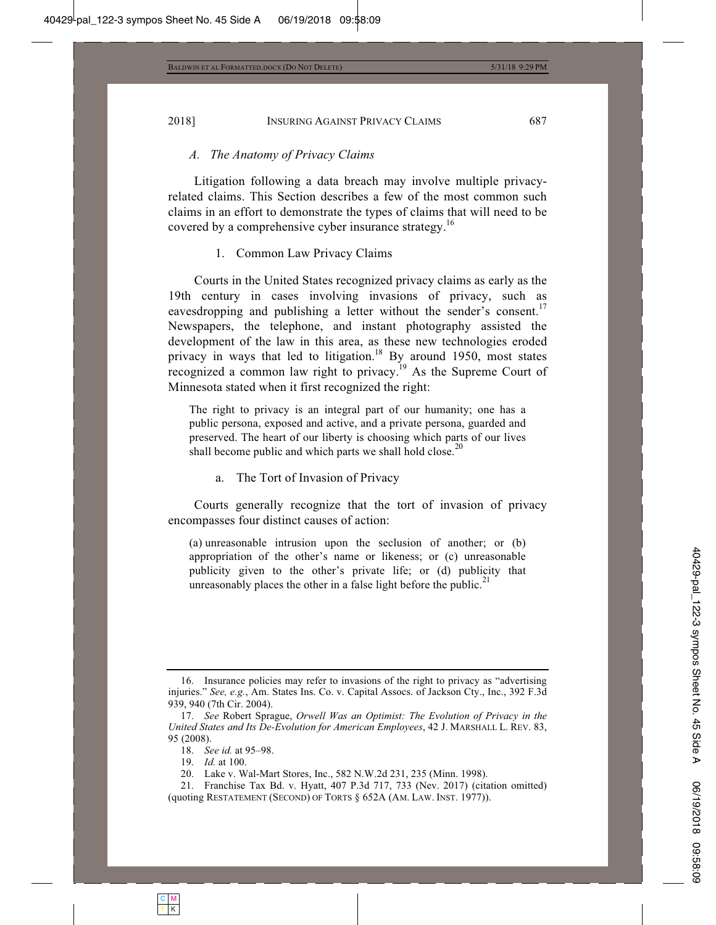#### *A. The Anatomy of Privacy Claims*

Litigation following a data breach may involve multiple privacyrelated claims. This Section describes a few of the most common such claims in an effort to demonstrate the types of claims that will need to be covered by a comprehensive cyber insurance strategy.<sup>16</sup>

# 1. Common Law Privacy Claims

Courts in the United States recognized privacy claims as early as the 19th century in cases involving invasions of privacy, such as eavesdropping and publishing a letter without the sender's consent.<sup>17</sup> Newspapers, the telephone, and instant photography assisted the development of the law in this area, as these new technologies eroded privacy in ways that led to litigation.<sup>18</sup> By around 1950, most states recognized a common law right to privacy.<sup>19</sup> As the Supreme Court of Minnesota stated when it first recognized the right:

The right to privacy is an integral part of our humanity; one has a public persona, exposed and active, and a private persona, guarded and preserved. The heart of our liberty is choosing which parts of our lives shall become public and which parts we shall hold close.<sup>20</sup>

a. The Tort of Invasion of Privacy

Courts generally recognize that the tort of invasion of privacy encompasses four distinct causes of action:

(a) unreasonable intrusion upon the seclusion of another; or (b) appropriation of the other's name or likeness; or (c) unreasonable publicity given to the other's private life; or (d) publicity that unreasonably places the other in a false light before the public.<sup>21</sup>

19. *Id.* at 100.

 <sup>16.</sup> Insurance policies may refer to invasions of the right to privacy as "advertising injuries." *See, e.g.*, Am. States Ins. Co. v. Capital Assocs. of Jackson Cty., Inc., 392 F.3d 939, 940 (7th Cir. 2004).

 <sup>17.</sup> *See* Robert Sprague, *Orwell Was an Optimist: The Evolution of Privacy in the United States and Its De-Evolution for American Employees*, 42 J. MARSHALL L. REV. 83, 95 (2008).

 <sup>18.</sup> *See id.* at 95–98.

 <sup>20.</sup> Lake v. Wal-Mart Stores, Inc., 582 N.W.2d 231, 235 (Minn. 1998).

 <sup>21.</sup> Franchise Tax Bd. v. Hyatt, 407 P.3d 717, 733 (Nev. 2017) (citation omitted) (quoting RESTATEMENT (SECOND) OF TORTS § 652A (AM. LAW. INST. 1977)).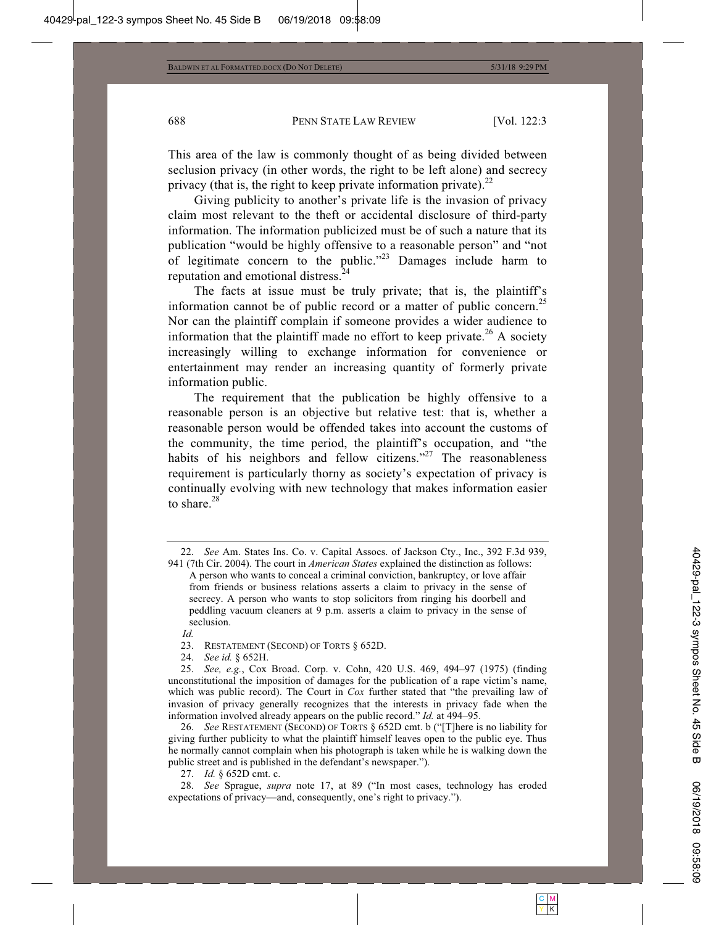This area of the law is commonly thought of as being divided between seclusion privacy (in other words, the right to be left alone) and secrecy privacy (that is, the right to keep private information private). $^{22}$ 

Giving publicity to another's private life is the invasion of privacy claim most relevant to the theft or accidental disclosure of third-party information. The information publicized must be of such a nature that its publication "would be highly offensive to a reasonable person" and "not of legitimate concern to the public."23 Damages include harm to reputation and emotional distress.<sup>24</sup>

The facts at issue must be truly private; that is, the plaintiff's information cannot be of public record or a matter of public concern.<sup>25</sup> Nor can the plaintiff complain if someone provides a wider audience to information that the plaintiff made no effort to keep private.<sup>26</sup> A society increasingly willing to exchange information for convenience or entertainment may render an increasing quantity of formerly private information public.

The requirement that the publication be highly offensive to a reasonable person is an objective but relative test: that is, whether a reasonable person would be offended takes into account the customs of the community, the time period, the plaintiff's occupation, and "the habits of his neighbors and fellow citizens."<sup>27</sup> The reasonableness requirement is particularly thorny as society's expectation of privacy is continually evolving with new technology that makes information easier to share. $^{28}$ 

 26. *See* RESTATEMENT (SECOND) OF TORTS § 652D cmt. b ("[T]here is no liability for giving further publicity to what the plaintiff himself leaves open to the public eye. Thus he normally cannot complain when his photograph is taken while he is walking down the public street and is published in the defendant's newspaper.").

27. *Id.* § 652D cmt. c.

 <sup>22.</sup> *See* Am. States Ins. Co. v. Capital Assocs. of Jackson Cty., Inc., 392 F.3d 939, 941 (7th Cir. 2004). The court in *American States* explained the distinction as follows:

A person who wants to conceal a criminal conviction, bankruptcy, or love affair from friends or business relations asserts a claim to privacy in the sense of secrecy. A person who wants to stop solicitors from ringing his doorbell and peddling vacuum cleaners at 9 p.m. asserts a claim to privacy in the sense of seclusion.

*Id.*

 <sup>23.</sup> RESTATEMENT (SECOND) OF TORTS § 652D.

 <sup>24.</sup> *See id.* § 652H.

 <sup>25.</sup> *See, e.g.*, Cox Broad. Corp. v. Cohn, 420 U.S. 469, 494–97 (1975) (finding unconstitutional the imposition of damages for the publication of a rape victim's name, which was public record). The Court in *Cox* further stated that "the prevailing law of invasion of privacy generally recognizes that the interests in privacy fade when the information involved already appears on the public record." *Id.* at 494–95.

 <sup>28.</sup> *See* Sprague, *supra* note 17, at 89 ("In most cases, technology has eroded expectations of privacy—and, consequently, one's right to privacy.").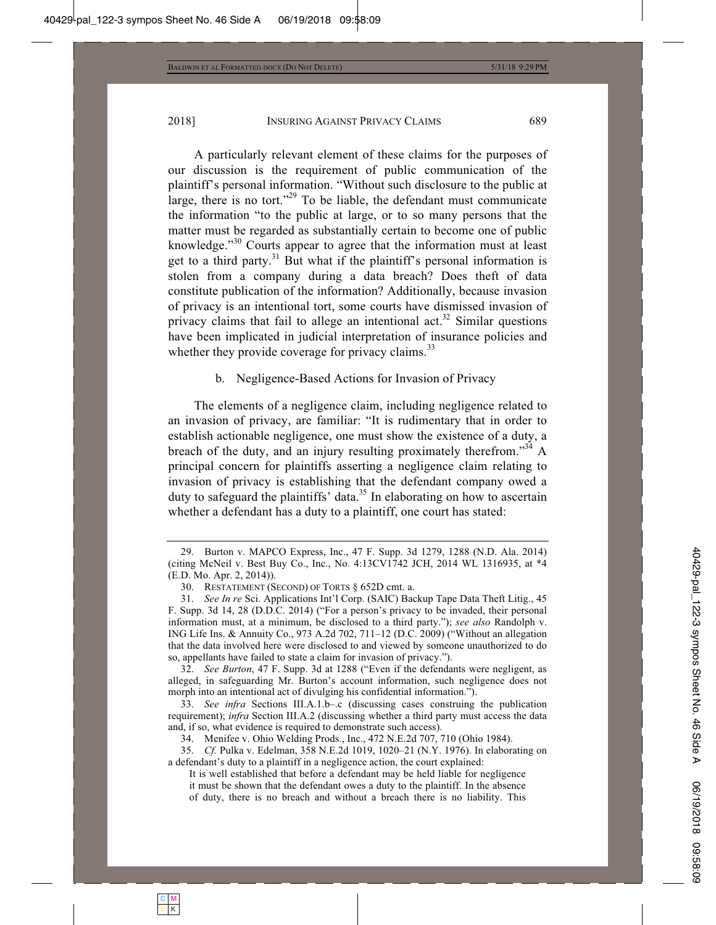A particularly relevant element of these claims for the purposes of our discussion is the requirement of public communication of the plaintiff's personal information. "Without such disclosure to the public at large, there is no tort."<sup>29</sup> To be liable, the defendant must communicate the information "to the public at large, or to so many persons that the matter must be regarded as substantially certain to become one of public knowledge."<sup>30</sup> Courts appear to agree that the information must at least get to a third party.<sup>31</sup> But what if the plaintiff's personal information is stolen from a company during a data breach? Does theft of data constitute publication of the information? Additionally, because invasion of privacy is an intentional tort, some courts have dismissed invasion of privacy claims that fail to allege an intentional act.<sup>32</sup> Similar questions have been implicated in judicial interpretation of insurance policies and whether they provide coverage for privacy claims.<sup>33</sup>

# b. Negligence-Based Actions for Invasion of Privacy

The elements of a negligence claim, including negligence related to an invasion of privacy, are familiar: "It is rudimentary that in order to establish actionable negligence, one must show the existence of a duty, a breach of the duty, and an injury resulting proximately therefrom.<sup>34</sup> A principal concern for plaintiffs asserting a negligence claim relating to invasion of privacy is establishing that the defendant company owed a duty to safeguard the plaintiffs' data.<sup>35</sup> In elaborating on how to ascertain whether a defendant has a duty to a plaintiff, one court has stated:

 <sup>29.</sup> Burton v. MAPCO Express, Inc., 47 F. Supp. 3d 1279, 1288 (N.D. Ala. 2014) (citing McNeil v. Best Buy Co., Inc., No. 4:13CV1742 JCH, 2014 WL 1316935, at \*4 (E.D. Mo. Apr. 2, 2014)).

 <sup>30.</sup> RESTATEMENT (SECOND) OF TORTS § 652D cmt. a.

 <sup>31.</sup> *See In re* Sci. Applications Int'l Corp. (SAIC) Backup Tape Data Theft Litig., 45 F. Supp. 3d 14, 28 (D.D.C. 2014) ("For a person's privacy to be invaded, their personal information must, at a minimum, be disclosed to a third party."); *see also* Randolph v. ING Life Ins. & Annuity Co., 973 A.2d 702, 711–12 (D.C. 2009) ("Without an allegation that the data involved here were disclosed to and viewed by someone unauthorized to do so, appellants have failed to state a claim for invasion of privacy.").

 <sup>32.</sup> *See Burton*, 47 F. Supp. 3d at 1288 ("Even if the defendants were negligent, as alleged, in safeguarding Mr. Burton's account information, such negligence does not morph into an intentional act of divulging his confidential information.").

 <sup>33.</sup> *See infra* Sections III.A.1.b–.c (discussing cases construing the publication requirement); *infra* Section III.A.2 (discussing whether a third party must access the data and, if so, what evidence is required to demonstrate such access).

 <sup>34.</sup> Menifee v. Ohio Welding Prods., Inc., 472 N.E.2d 707, 710 (Ohio 1984).

 <sup>35.</sup> *Cf.* Pulka v. Edelman, 358 N.E.2d 1019, 1020–21 (N.Y. 1976). In elaborating on a defendant's duty to a plaintiff in a negligence action, the court explained:

It is well established that before a defendant may be held liable for negligence it must be shown that the defendant owes a duty to the plaintiff. In the absence of duty, there is no breach and without a breach there is no liability. This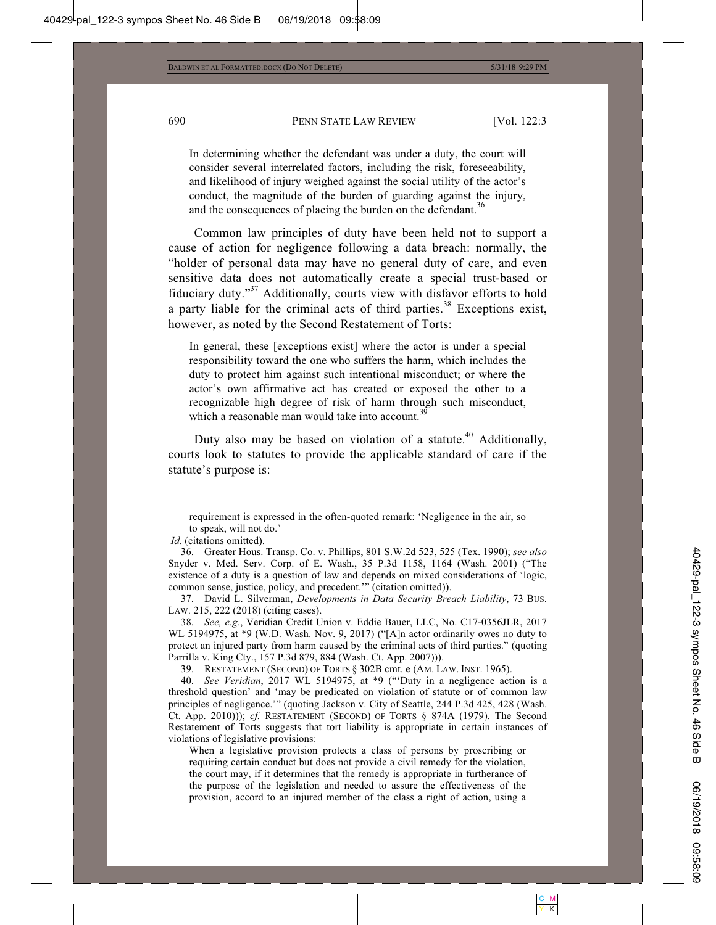In determining whether the defendant was under a duty, the court will consider several interrelated factors, including the risk, foreseeability, and likelihood of injury weighed against the social utility of the actor's conduct, the magnitude of the burden of guarding against the injury, and the consequences of placing the burden on the defendant.<sup>36</sup>

Common law principles of duty have been held not to support a cause of action for negligence following a data breach: normally, the "holder of personal data may have no general duty of care, and even sensitive data does not automatically create a special trust-based or fiduciary duty."37 Additionally, courts view with disfavor efforts to hold a party liable for the criminal acts of third parties.<sup>38</sup> Exceptions exist, however, as noted by the Second Restatement of Torts:

In general, these [exceptions exist] where the actor is under a special responsibility toward the one who suffers the harm, which includes the duty to protect him against such intentional misconduct; or where the actor's own affirmative act has created or exposed the other to a recognizable high degree of risk of harm through such misconduct, which a reasonable man would take into account. $39$ 

Duty also may be based on violation of a statute.<sup>40</sup> Additionally, courts look to statutes to provide the applicable standard of care if the statute's purpose is:

39. RESTATEMENT (SECOND) OF TORTS § 302B cmt. e (AM. LAW. INST. 1965).

 40. *See Veridian*, 2017 WL 5194975, at \*9 ("'Duty in a negligence action is a threshold question' and 'may be predicated on violation of statute or of common law principles of negligence.'" (quoting Jackson v. City of Seattle, 244 P.3d 425, 428 (Wash. Ct. App. 2010))); *cf.* RESTATEMENT (SECOND) OF TORTS § 874A (1979). The Second Restatement of Torts suggests that tort liability is appropriate in certain instances of violations of legislative provisions:

When a legislative provision protects a class of persons by proscribing or requiring certain conduct but does not provide a civil remedy for the violation, the court may, if it determines that the remedy is appropriate in furtherance of the purpose of the legislation and needed to assure the effectiveness of the provision, accord to an injured member of the class a right of action, using a

requirement is expressed in the often-quoted remark: 'Negligence in the air, so to speak, will not do.'

*Id.* (citations omitted).

 <sup>36.</sup> Greater Hous. Transp. Co. v. Phillips, 801 S.W.2d 523, 525 (Tex. 1990); *see also* Snyder v. Med. Serv. Corp. of E. Wash., 35 P.3d 1158, 1164 (Wash. 2001) ("The existence of a duty is a question of law and depends on mixed considerations of 'logic, common sense, justice, policy, and precedent.'" (citation omitted)).

 <sup>37.</sup> David L. Silverman, *Developments in Data Security Breach Liability*, 73 BUS. LAW. 215, 222 (2018) (citing cases).

 <sup>38.</sup> *See, e.g.*, Veridian Credit Union v. Eddie Bauer, LLC, No. C17-0356JLR, 2017 WL 5194975, at \*9 (W.D. Wash. Nov. 9, 2017) ("[A]n actor ordinarily owes no duty to protect an injured party from harm caused by the criminal acts of third parties." (quoting Parrilla v. King Cty., 157 P.3d 879, 884 (Wash. Ct. App. 2007))).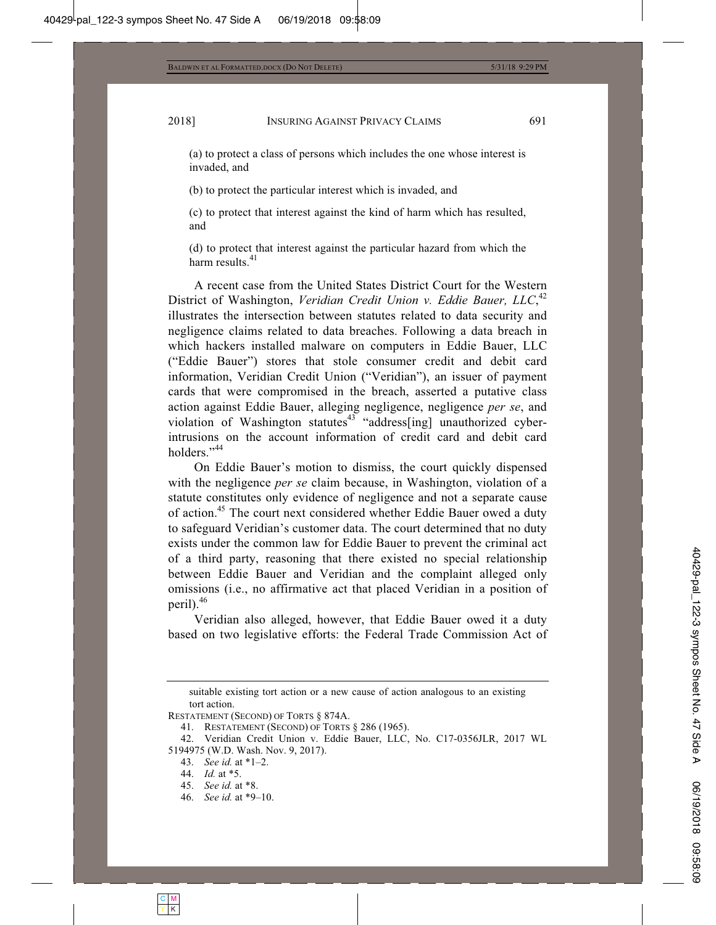(a) to protect a class of persons which includes the one whose interest is invaded, and

(b) to protect the particular interest which is invaded, and

(c) to protect that interest against the kind of harm which has resulted, and

(d) to protect that interest against the particular hazard from which the harm results.<sup>41</sup>

A recent case from the United States District Court for the Western District of Washington, Veridian Credit Union v. Eddie Bauer, LLC,<sup>42</sup> illustrates the intersection between statutes related to data security and negligence claims related to data breaches. Following a data breach in which hackers installed malware on computers in Eddie Bauer, LLC ("Eddie Bauer") stores that stole consumer credit and debit card information, Veridian Credit Union ("Veridian"), an issuer of payment cards that were compromised in the breach, asserted a putative class action against Eddie Bauer, alleging negligence, negligence *per se*, and violation of Washington statutes<sup>43</sup> "address[ing] unauthorized cyberintrusions on the account information of credit card and debit card holders."<sup>44</sup>

On Eddie Bauer's motion to dismiss, the court quickly dispensed with the negligence *per se* claim because, in Washington, violation of a statute constitutes only evidence of negligence and not a separate cause of action.<sup>45</sup> The court next considered whether Eddie Bauer owed a duty to safeguard Veridian's customer data. The court determined that no duty exists under the common law for Eddie Bauer to prevent the criminal act of a third party, reasoning that there existed no special relationship between Eddie Bauer and Veridian and the complaint alleged only omissions (i.e., no affirmative act that placed Veridian in a position of peril).<sup>46</sup>

Veridian also alleged, however, that Eddie Bauer owed it a duty based on two legislative efforts: the Federal Trade Commission Act of

46. *See id.* at \*9–10.

suitable existing tort action or a new cause of action analogous to an existing tort action.

RESTATEMENT (SECOND) OF TORTS § 874A.

 <sup>41.</sup> RESTATEMENT (SECOND) OF TORTS § 286 (1965).

 <sup>42.</sup> Veridian Credit Union v. Eddie Bauer, LLC, No. C17-0356JLR, 2017 WL 5194975 (W.D. Wash. Nov. 9, 2017).

 <sup>43.</sup> *See id.* at \*1–2.

 <sup>44.</sup> *Id.* at \*5.

 <sup>45.</sup> *See id.* at \*8.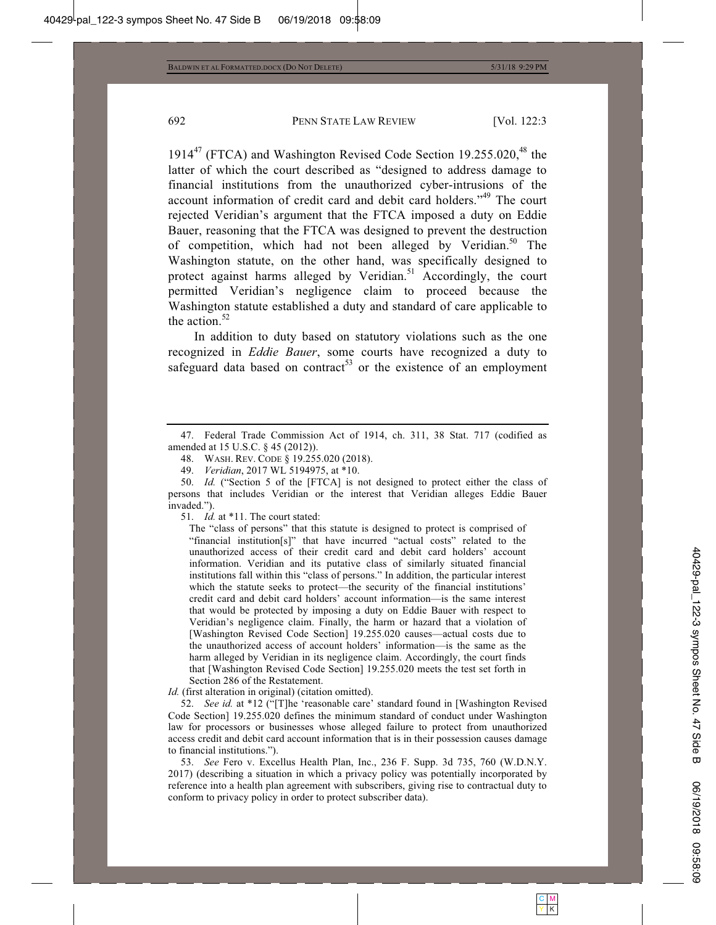1914 $47$  (FTCA) and Washington Revised Code Section 19.255.020, $48$  the latter of which the court described as "designed to address damage to financial institutions from the unauthorized cyber-intrusions of the account information of credit card and debit card holders."49 The court rejected Veridian's argument that the FTCA imposed a duty on Eddie Bauer, reasoning that the FTCA was designed to prevent the destruction of competition, which had not been alleged by Veridian.<sup>50</sup> The Washington statute, on the other hand, was specifically designed to protect against harms alleged by Veridian.<sup>51</sup> Accordingly, the court permitted Veridian's negligence claim to proceed because the Washington statute established a duty and standard of care applicable to the action. $52$ 

In addition to duty based on statutory violations such as the one recognized in *Eddie Bauer*, some courts have recognized a duty to safeguard data based on contract<sup>53</sup> or the existence of an employment

48. WASH. REV. CODE § 19.255.020 (2018).

51. *Id.* at \*11. The court stated:

The "class of persons" that this statute is designed to protect is comprised of "financial institution[s]" that have incurred "actual costs" related to the unauthorized access of their credit card and debit card holders' account information. Veridian and its putative class of similarly situated financial institutions fall within this "class of persons." In addition, the particular interest which the statute seeks to protect—the security of the financial institutions' credit card and debit card holders' account information—is the same interest that would be protected by imposing a duty on Eddie Bauer with respect to Veridian's negligence claim. Finally, the harm or hazard that a violation of [Washington Revised Code Section] 19.255.020 causes—actual costs due to the unauthorized access of account holders' information—is the same as the harm alleged by Veridian in its negligence claim. Accordingly, the court finds that [Washington Revised Code Section] 19.255.020 meets the test set forth in Section 286 of the Restatement.

*Id.* (first alteration in original) (citation omitted).

 52. *See id.* at \*12 ("[T]he 'reasonable care' standard found in [Washington Revised Code Section] 19.255.020 defines the minimum standard of conduct under Washington law for processors or businesses whose alleged failure to protect from unauthorized access credit and debit card account information that is in their possession causes damage to financial institutions.").

 53. *See* Fero v. Excellus Health Plan, Inc., 236 F. Supp. 3d 735, 760 (W.D.N.Y. 2017) (describing a situation in which a privacy policy was potentially incorporated by reference into a health plan agreement with subscribers, giving rise to contractual duty to conform to privacy policy in order to protect subscriber data).

 <sup>47.</sup> Federal Trade Commission Act of 1914, ch. 311, 38 Stat. 717 (codified as amended at 15 U.S.C. § 45 (2012)).

 <sup>49.</sup> *Veridian*, 2017 WL 5194975, at \*10.

<sup>50.</sup> *Id.* ("Section 5 of the [FTCA] is not designed to protect either the class of persons that includes Veridian or the interest that Veridian alleges Eddie Bauer invaded.").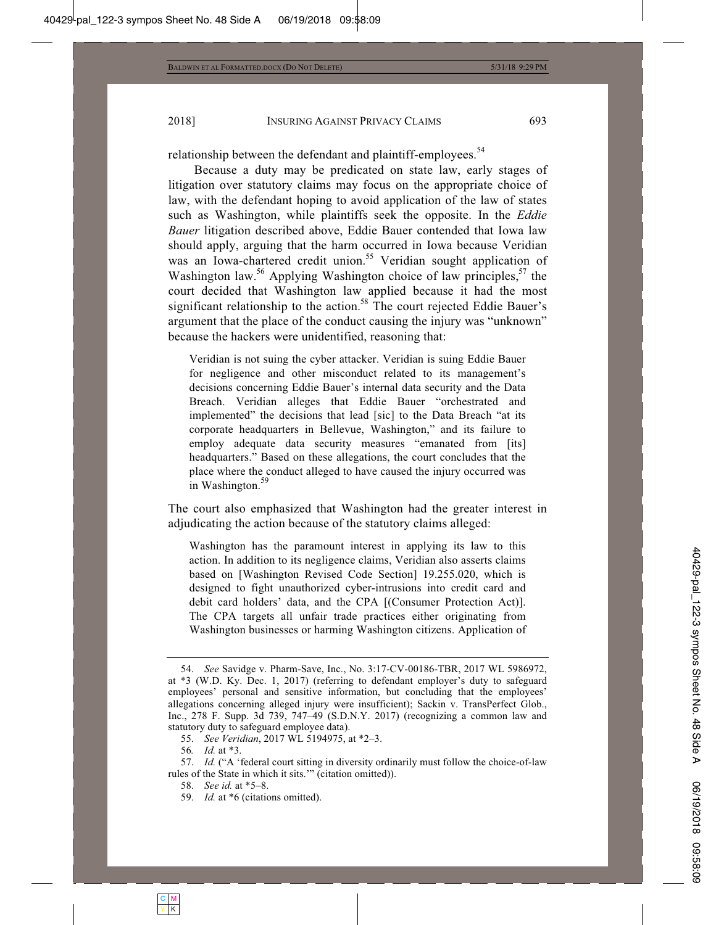relationship between the defendant and plaintiff-employees.<sup>54</sup>

Because a duty may be predicated on state law, early stages of litigation over statutory claims may focus on the appropriate choice of law, with the defendant hoping to avoid application of the law of states such as Washington, while plaintiffs seek the opposite. In the *Eddie Bauer* litigation described above, Eddie Bauer contended that Iowa law should apply, arguing that the harm occurred in Iowa because Veridian was an Iowa-chartered credit union.<sup>55</sup> Veridian sought application of Washington law.<sup>56</sup> Applying Washington choice of law principles,  $57$  the court decided that Washington law applied because it had the most significant relationship to the action.<sup>58</sup> The court rejected Eddie Bauer's argument that the place of the conduct causing the injury was "unknown" because the hackers were unidentified, reasoning that:

Veridian is not suing the cyber attacker. Veridian is suing Eddie Bauer for negligence and other misconduct related to its management's decisions concerning Eddie Bauer's internal data security and the Data Breach. Veridian alleges that Eddie Bauer "orchestrated and implemented" the decisions that lead [sic] to the Data Breach "at its corporate headquarters in Bellevue, Washington," and its failure to employ adequate data security measures "emanated from [its] headquarters." Based on these allegations, the court concludes that the place where the conduct alleged to have caused the injury occurred was in Washington.<sup>59</sup>

The court also emphasized that Washington had the greater interest in adjudicating the action because of the statutory claims alleged:

Washington has the paramount interest in applying its law to this action. In addition to its negligence claims, Veridian also asserts claims based on [Washington Revised Code Section] 19.255.020, which is designed to fight unauthorized cyber-intrusions into credit card and debit card holders' data, and the CPA [(Consumer Protection Act)]. The CPA targets all unfair trade practices either originating from Washington businesses or harming Washington citizens. Application of

59. *Id.* at \*6 (citations omitted).

 <sup>54.</sup> *See* Savidge v. Pharm-Save, Inc., No. 3:17-CV-00186-TBR, 2017 WL 5986972, at \*3 (W.D. Ky. Dec. 1, 2017) (referring to defendant employer's duty to safeguard employees' personal and sensitive information, but concluding that the employees' allegations concerning alleged injury were insufficient); Sackin v. TransPerfect Glob., Inc., 278 F. Supp. 3d 739, 747–49 (S.D.N.Y. 2017) (recognizing a common law and statutory duty to safeguard employee data).

 <sup>55.</sup> *See Veridian*, 2017 WL 5194975, at \*2–3.

<sup>56</sup>*. Id.* at \*3.

 <sup>57.</sup> *Id.* ("A 'federal court sitting in diversity ordinarily must follow the choice-of-law rules of the State in which it sits.'" (citation omitted)).

<sup>58.</sup> *See id.* at \*5–8.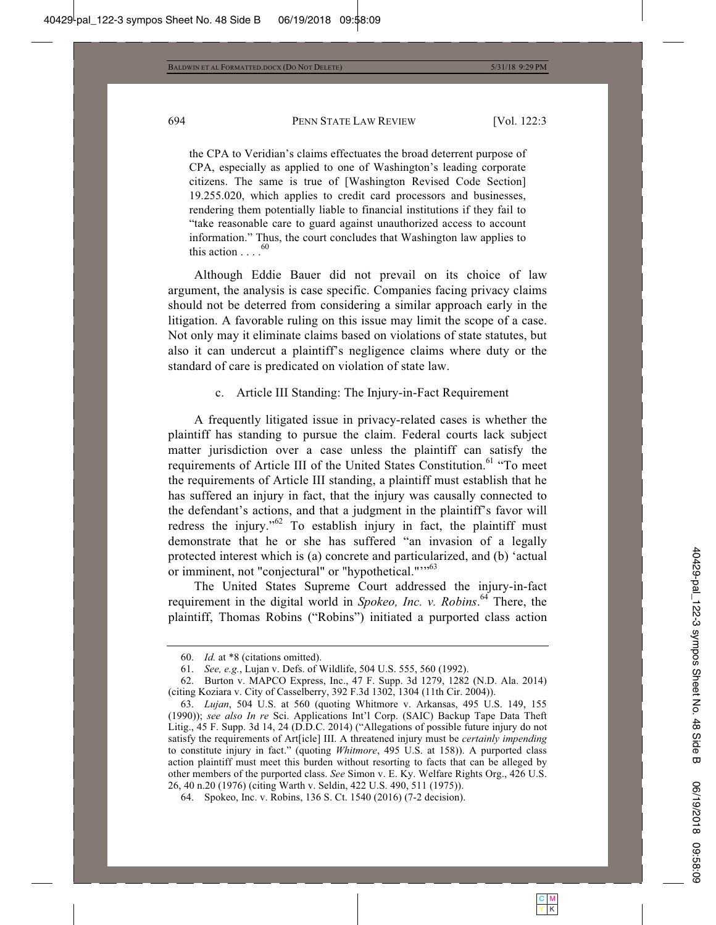the CPA to Veridian's claims effectuates the broad deterrent purpose of CPA, especially as applied to one of Washington's leading corporate citizens. The same is true of [Washington Revised Code Section] 19.255.020, which applies to credit card processors and businesses, rendering them potentially liable to financial institutions if they fail to "take reasonable care to guard against unauthorized access to account information." Thus, the court concludes that Washington law applies to this action  $\ldots$ . <sup>60</sup>

Although Eddie Bauer did not prevail on its choice of law argument, the analysis is case specific. Companies facing privacy claims should not be deterred from considering a similar approach early in the litigation. A favorable ruling on this issue may limit the scope of a case. Not only may it eliminate claims based on violations of state statutes, but also it can undercut a plaintiff's negligence claims where duty or the standard of care is predicated on violation of state law.

c. Article III Standing: The Injury-in-Fact Requirement

A frequently litigated issue in privacy-related cases is whether the plaintiff has standing to pursue the claim. Federal courts lack subject matter jurisdiction over a case unless the plaintiff can satisfy the requirements of Article III of the United States Constitution.<sup>61</sup> "To meet the requirements of Article III standing, a plaintiff must establish that he has suffered an injury in fact, that the injury was causally connected to the defendant's actions, and that a judgment in the plaintiff's favor will redress the injury."<sup>62</sup> To establish injury in fact, the plaintiff must demonstrate that he or she has suffered "an invasion of a legally protected interest which is (a) concrete and particularized, and (b) 'actual or imminent, not "conjectural" or "hypothetical.""<sup>63</sup>

The United States Supreme Court addressed the injury-in-fact requirement in the digital world in *Spokeo, Inc. v. Robins*. 64 There, the plaintiff, Thomas Robins ("Robins") initiated a purported class action

 <sup>60.</sup> *Id.* at \*8 (citations omitted).

<sup>61.</sup> *See, e.g.*, Lujan v. Defs. of Wildlife, 504 U.S. 555, 560 (1992).

 <sup>62.</sup> Burton v. MAPCO Express, Inc., 47 F. Supp. 3d 1279, 1282 (N.D. Ala. 2014) (citing Koziara v. City of Casselberry, 392 F.3d 1302, 1304 (11th Cir. 2004)).

 <sup>63.</sup> *Lujan*, 504 U.S. at 560 (quoting Whitmore v. Arkansas, 495 U.S. 149, 155 (1990)); *see also In re* Sci. Applications Int'l Corp. (SAIC) Backup Tape Data Theft Litig., 45 F. Supp. 3d 14, 24 (D.D.C. 2014) ("Allegations of possible future injury do not satisfy the requirements of Art[icle] III. A threatened injury must be *certainly impending* to constitute injury in fact." (quoting *Whitmore*, 495 U.S. at 158)). A purported class action plaintiff must meet this burden without resorting to facts that can be alleged by other members of the purported class. *See* Simon v. E. Ky. Welfare Rights Org., 426 U.S. 26, 40 n.20 (1976) (citing Warth v. Seldin, 422 U.S. 490, 511 (1975)).

 <sup>64.</sup> Spokeo, Inc. v. Robins, 136 S. Ct. 1540 (2016) (7-2 decision).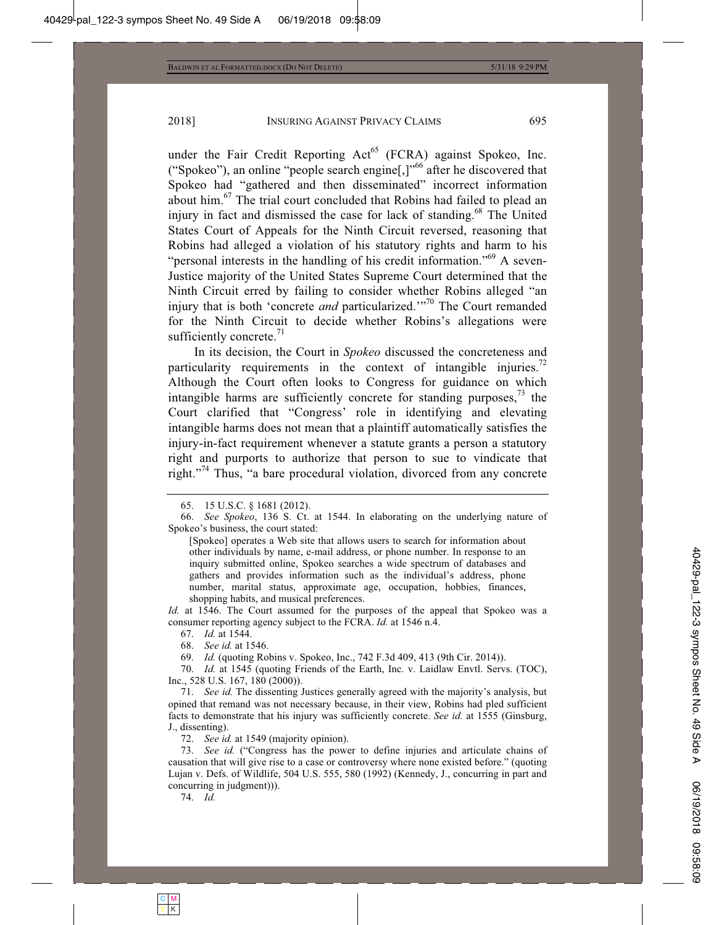under the Fair Credit Reporting  $Act^{65}$  (FCRA) against Spokeo, Inc. ("Spokeo"), an online "people search engine[,]"66 after he discovered that Spokeo had "gathered and then disseminated" incorrect information about him.67 The trial court concluded that Robins had failed to plead an injury in fact and dismissed the case for lack of standing.<sup>68</sup> The United States Court of Appeals for the Ninth Circuit reversed, reasoning that Robins had alleged a violation of his statutory rights and harm to his "personal interests in the handling of his credit information."<sup>69</sup> A seven-Justice majority of the United States Supreme Court determined that the Ninth Circuit erred by failing to consider whether Robins alleged "an injury that is both 'concrete *and* particularized.'"<sup>70</sup> The Court remanded for the Ninth Circuit to decide whether Robins's allegations were sufficiently concrete. $^{71}$ 

In its decision, the Court in *Spokeo* discussed the concreteness and particularity requirements in the context of intangible injuries.<sup>72</sup> Although the Court often looks to Congress for guidance on which intangible harms are sufficiently concrete for standing purposes,  $\frac{73}{12}$  the Court clarified that "Congress' role in identifying and elevating intangible harms does not mean that a plaintiff automatically satisfies the injury-in-fact requirement whenever a statute grants a person a statutory right and purports to authorize that person to sue to vindicate that right."74 Thus, "a bare procedural violation, divorced from any concrete

*Id.* at 1546. The Court assumed for the purposes of the appeal that Spokeo was a consumer reporting agency subject to the FCRA. *Id.* at 1546 n.4.

69. *Id.* (quoting Robins v. Spokeo, Inc., 742 F.3d 409, 413 (9th Cir. 2014)).

 70. *Id.* at 1545 (quoting Friends of the Earth, Inc. v. Laidlaw Envtl. Servs. (TOC), Inc., 528 U.S. 167, 180 (2000)).

 71. *See id.* The dissenting Justices generally agreed with the majority's analysis, but opined that remand was not necessary because, in their view, Robins had pled sufficient facts to demonstrate that his injury was sufficiently concrete. *See id.* at 1555 (Ginsburg, J., dissenting).

72. *See id.* at 1549 (majority opinion).

 73. *See id.* ("Congress has the power to define injuries and articulate chains of causation that will give rise to a case or controversy where none existed before." (quoting Lujan v. Defs. of Wildlife, 504 U.S. 555, 580 (1992) (Kennedy, J., concurring in part and concurring in judgment))).

74. *Id.*

 <sup>65. 15</sup> U.S.C. § 1681 (2012).

<sup>66.</sup> *See Spokeo*, 136 S. Ct. at 1544. In elaborating on the underlying nature of Spokeo's business, the court stated:

<sup>[</sup>Spokeo] operates a Web site that allows users to search for information about other individuals by name, e-mail address, or phone number. In response to an inquiry submitted online, Spokeo searches a wide spectrum of databases and gathers and provides information such as the individual's address, phone number, marital status, approximate age, occupation, hobbies, finances, shopping habits, and musical preferences.

 <sup>67.</sup> *Id.* at 1544.

 <sup>68.</sup> *See id.* at 1546.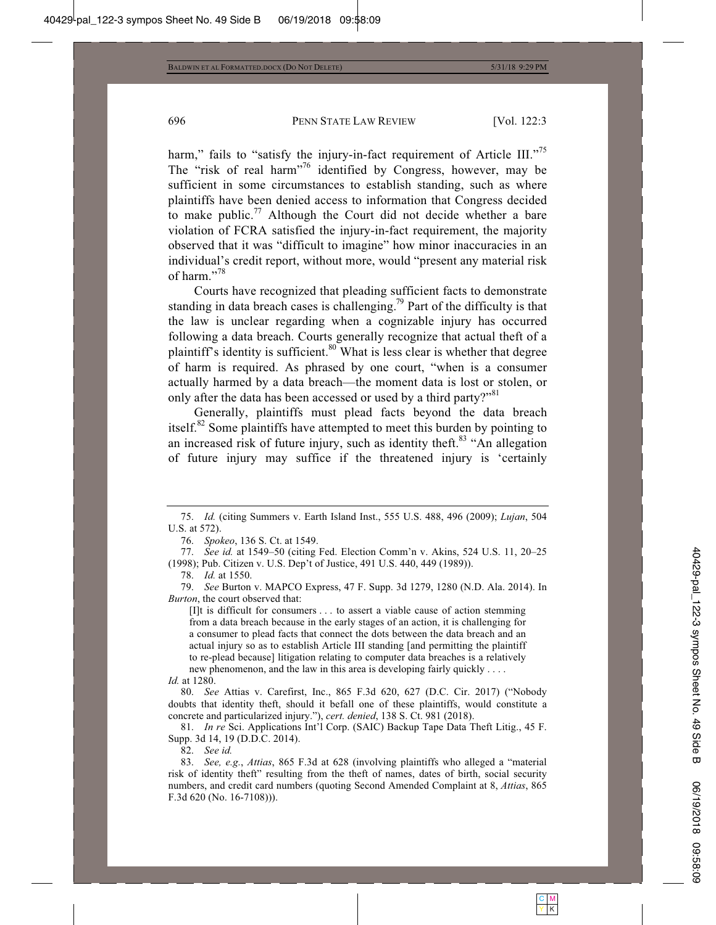harm," fails to "satisfy the injury-in-fact requirement of Article III."<sup>75</sup> The "risk of real harm"76 identified by Congress, however, may be sufficient in some circumstances to establish standing, such as where plaintiffs have been denied access to information that Congress decided to make public.<sup>77</sup> Although the Court did not decide whether a bare violation of FCRA satisfied the injury-in-fact requirement, the majority observed that it was "difficult to imagine" how minor inaccuracies in an individual's credit report, without more, would "present any material risk of harm."<sup>78</sup>

Courts have recognized that pleading sufficient facts to demonstrate standing in data breach cases is challenging.<sup>79</sup> Part of the difficulty is that the law is unclear regarding when a cognizable injury has occurred following a data breach. Courts generally recognize that actual theft of a plaintiff's identity is sufficient.<sup>80</sup> What is less clear is whether that degree of harm is required. As phrased by one court, "when is a consumer actually harmed by a data breach—the moment data is lost or stolen, or only after the data has been accessed or used by a third party?"<sup>81</sup>

Generally, plaintiffs must plead facts beyond the data breach itself.<sup>82</sup> Some plaintiffs have attempted to meet this burden by pointing to an increased risk of future injury, such as identity theft.<sup>83</sup> "An allegation of future injury may suffice if the threatened injury is 'certainly

76. *Spokeo*, 136 S. Ct. at 1549.

 77. *See id.* at 1549–50 (citing Fed. Election Comm'n v. Akins, 524 U.S. 11, 20–25 (1998); Pub. Citizen v. U.S. Dep't of Justice, 491 U.S. 440, 449 (1989)).

78. *Id.* at 1550.

 79. *See* Burton v. MAPCO Express, 47 F. Supp. 3d 1279, 1280 (N.D. Ala. 2014). In *Burton*, the court observed that:

[I]t is difficult for consumers . . . to assert a viable cause of action stemming from a data breach because in the early stages of an action, it is challenging for a consumer to plead facts that connect the dots between the data breach and an actual injury so as to establish Article III standing [and permitting the plaintiff to re-plead because] litigation relating to computer data breaches is a relatively new phenomenon, and the law in this area is developing fairly quickly . . . .

*Id.* at 1280.

 80. *See* Attias v. Carefirst, Inc., 865 F.3d 620, 627 (D.C. Cir. 2017) ("Nobody doubts that identity theft, should it befall one of these plaintiffs, would constitute a concrete and particularized injury."), *cert. denied*, 138 S. Ct. 981 (2018).

 81. *In re* Sci. Applications Int'l Corp. (SAIC) Backup Tape Data Theft Litig., 45 F. Supp. 3d 14, 19 (D.D.C. 2014).

82. *See id.*

 83. *See, e.g.*, *Attias*, 865 F.3d at 628 (involving plaintiffs who alleged a "material risk of identity theft" resulting from the theft of names, dates of birth, social security numbers, and credit card numbers (quoting Second Amended Complaint at 8, *Attias*, 865 F.3d 620 (No. 16-7108))).

 <sup>75.</sup> *Id.* (citing Summers v. Earth Island Inst., 555 U.S. 488, 496 (2009); *Lujan*, 504 U.S. at 572).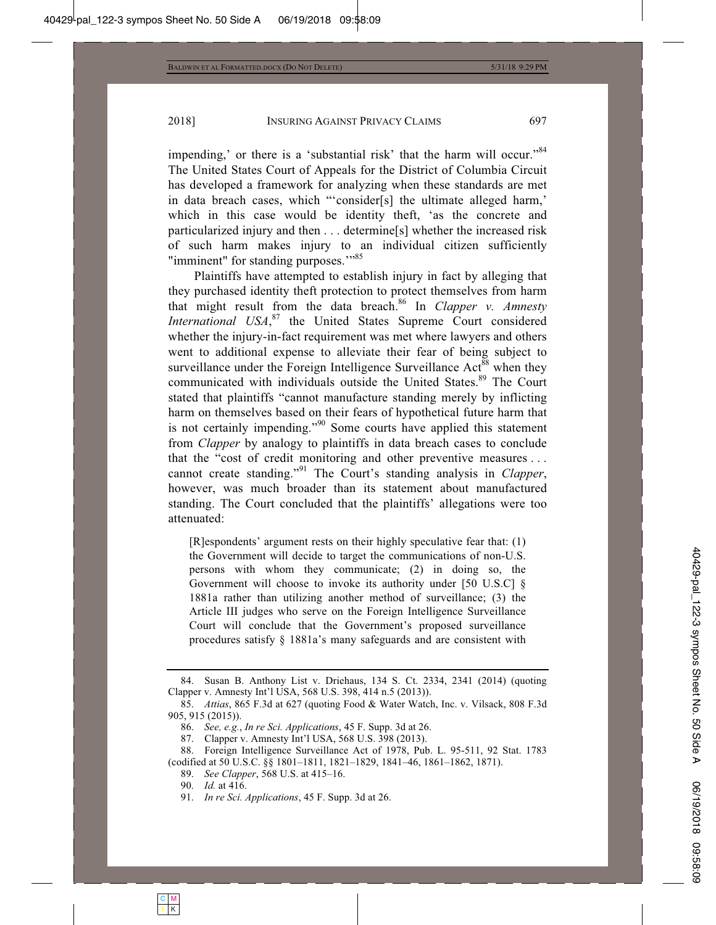impending,' or there is a 'substantial risk' that the harm will occur."<sup>84</sup> The United States Court of Appeals for the District of Columbia Circuit has developed a framework for analyzing when these standards are met in data breach cases, which "'consider[s] the ultimate alleged harm,' which in this case would be identity theft, 'as the concrete and particularized injury and then . . . determine[s] whether the increased risk of such harm makes injury to an individual citizen sufficiently "imminent" for standing purposes."<sup>85</sup>

Plaintiffs have attempted to establish injury in fact by alleging that they purchased identity theft protection to protect themselves from harm that might result from the data breach.<sup>86</sup> In *Clapper v. Amnesty International USA*, 87 the United States Supreme Court considered whether the injury-in-fact requirement was met where lawyers and others went to additional expense to alleviate their fear of being subject to surveillance under the Foreign Intelligence Surveillance  $Act<sup>88</sup>$  when they communicated with individuals outside the United States.<sup>89</sup> The Court stated that plaintiffs "cannot manufacture standing merely by inflicting harm on themselves based on their fears of hypothetical future harm that is not certainly impending."<sup>90</sup> Some courts have applied this statement from *Clapper* by analogy to plaintiffs in data breach cases to conclude that the "cost of credit monitoring and other preventive measures . . . cannot create standing."91 The Court's standing analysis in *Clapper*, however, was much broader than its statement about manufactured standing. The Court concluded that the plaintiffs' allegations were too attenuated:

[R]espondents' argument rests on their highly speculative fear that: (1) the Government will decide to target the communications of non-U.S. persons with whom they communicate; (2) in doing so, the Government will choose to invoke its authority under [50 U.S.C] § 1881a rather than utilizing another method of surveillance; (3) the Article III judges who serve on the Foreign Intelligence Surveillance Court will conclude that the Government's proposed surveillance procedures satisfy § 1881a's many safeguards and are consistent with

 <sup>84.</sup> Susan B. Anthony List v. Driehaus, 134 S. Ct. 2334, 2341 (2014) (quoting Clapper v. Amnesty Int'l USA, 568 U.S. 398, 414 n.5 (2013)).

 <sup>85.</sup> *Attias*, 865 F.3d at 627 (quoting Food & Water Watch, Inc. v. Vilsack, 808 F.3d 905, 915 (2015)).

 <sup>86.</sup> *See, e.g.*, *In re Sci. Applications*, 45 F. Supp. 3d at 26.

 <sup>87.</sup> Clapper v. Amnesty Int'l USA, 568 U.S. 398 (2013).

 <sup>88.</sup> Foreign Intelligence Surveillance Act of 1978, Pub. L. 95-511, 92 Stat. 1783 (codified at 50 U.S.C. §§ 1801–1811, 1821–1829, 1841–46, 1861–1862, 1871).

 <sup>89.</sup> *See Clapper*, 568 U.S. at 415–16.

 <sup>90.</sup> *Id.* at 416.

 <sup>91.</sup> *In re Sci. Applications*, 45 F. Supp. 3d at 26.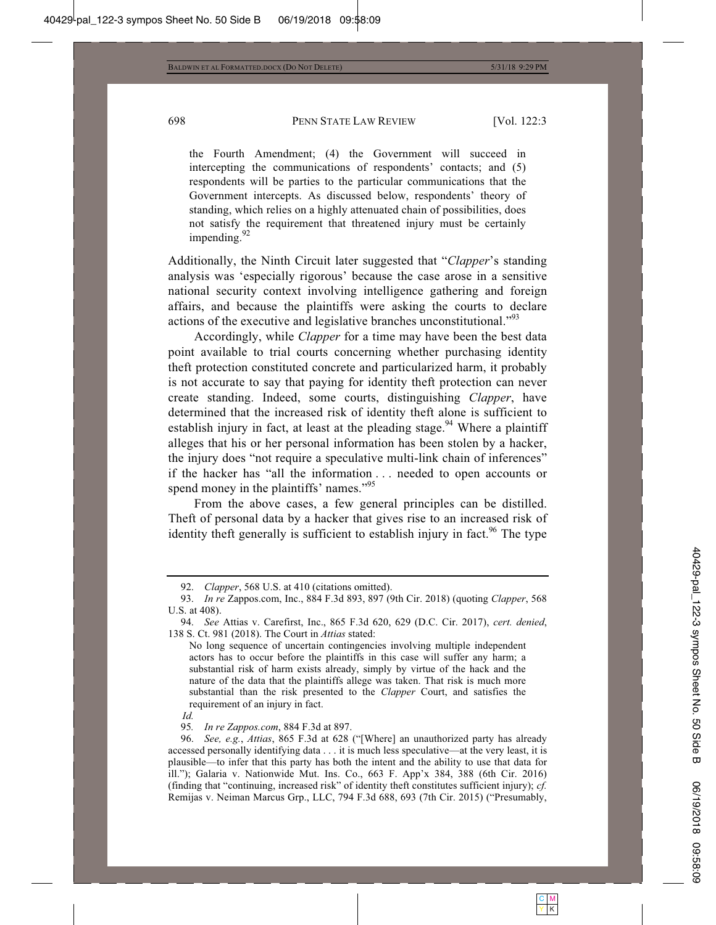the Fourth Amendment; (4) the Government will succeed in intercepting the communications of respondents' contacts; and (5) respondents will be parties to the particular communications that the Government intercepts. As discussed below, respondents' theory of standing, which relies on a highly attenuated chain of possibilities, does not satisfy the requirement that threatened injury must be certainly impending.<sup>92</sup>

Additionally, the Ninth Circuit later suggested that "*Clapper*'s standing analysis was 'especially rigorous' because the case arose in a sensitive national security context involving intelligence gathering and foreign affairs, and because the plaintiffs were asking the courts to declare actions of the executive and legislative branches unconstitutional."93

Accordingly, while *Clapper* for a time may have been the best data point available to trial courts concerning whether purchasing identity theft protection constituted concrete and particularized harm, it probably is not accurate to say that paying for identity theft protection can never create standing. Indeed, some courts, distinguishing *Clapper*, have determined that the increased risk of identity theft alone is sufficient to establish injury in fact, at least at the pleading stage.<sup>94</sup> Where a plaintiff alleges that his or her personal information has been stolen by a hacker, the injury does "not require a speculative multi-link chain of inferences" if the hacker has "all the information . . . needed to open accounts or spend money in the plaintiffs' names."<sup>95</sup>

From the above cases, a few general principles can be distilled. Theft of personal data by a hacker that gives rise to an increased risk of identity theft generally is sufficient to establish injury in fact.<sup>96</sup> The type

95*. In re Zappos.com*, 884 F.3d at 897.

 <sup>92.</sup> *Clapper*, 568 U.S. at 410 (citations omitted).

 <sup>93.</sup> *In re* Zappos.com, Inc., 884 F.3d 893, 897 (9th Cir. 2018) (quoting *Clapper*, 568 U.S. at 408).

 <sup>94.</sup> *See* Attias v. Carefirst, Inc., 865 F.3d 620, 629 (D.C. Cir. 2017), *cert. denied*, 138 S. Ct. 981 (2018). The Court in *Attias* stated:

No long sequence of uncertain contingencies involving multiple independent actors has to occur before the plaintiffs in this case will suffer any harm; a substantial risk of harm exists already, simply by virtue of the hack and the nature of the data that the plaintiffs allege was taken. That risk is much more substantial than the risk presented to the *Clapper* Court, and satisfies the requirement of an injury in fact.

*Id.*

 <sup>96.</sup> *See, e.g.*, *Attias*, 865 F.3d at 628 ("[Where] an unauthorized party has already accessed personally identifying data . . . it is much less speculative—at the very least, it is plausible—to infer that this party has both the intent and the ability to use that data for ill."); Galaria v. Nationwide Mut. Ins. Co., 663 F. App'x 384, 388 (6th Cir. 2016) (finding that "continuing, increased risk" of identity theft constitutes sufficient injury); *cf.* Remijas v. Neiman Marcus Grp., LLC, 794 F.3d 688, 693 (7th Cir. 2015) ("Presumably,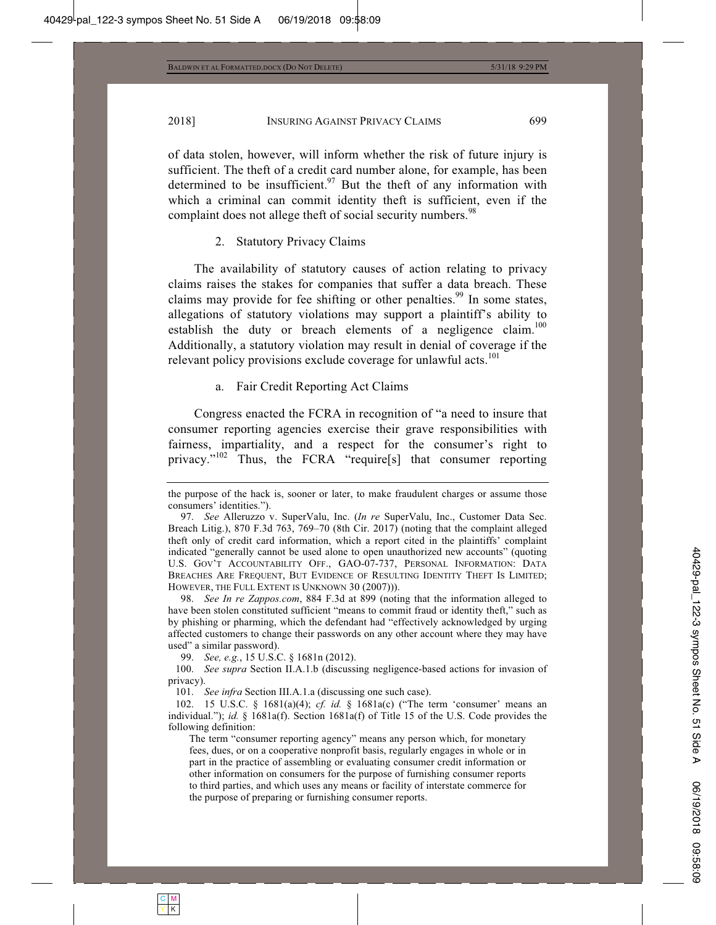of data stolen, however, will inform whether the risk of future injury is sufficient. The theft of a credit card number alone, for example, has been determined to be insufficient. $97$  But the theft of any information with which a criminal can commit identity theft is sufficient, even if the complaint does not allege theft of social security numbers.<sup>98</sup>

#### 2. Statutory Privacy Claims

The availability of statutory causes of action relating to privacy claims raises the stakes for companies that suffer a data breach. These claims may provide for fee shifting or other penalties.<sup>99</sup> In some states, allegations of statutory violations may support a plaintiff's ability to establish the duty or breach elements of a negligence claim.<sup>100</sup> Additionally, a statutory violation may result in denial of coverage if the relevant policy provisions exclude coverage for unlawful acts.<sup>101</sup>

#### a. Fair Credit Reporting Act Claims

Congress enacted the FCRA in recognition of "a need to insure that consumer reporting agencies exercise their grave responsibilities with fairness, impartiality, and a respect for the consumer's right to privacy."<sup>102</sup> Thus, the FCRA "require[s] that consumer reporting

 98. *See In re Zappos.com*, 884 F.3d at 899 (noting that the information alleged to have been stolen constituted sufficient "means to commit fraud or identity theft," such as by phishing or pharming, which the defendant had "effectively acknowledged by urging affected customers to change their passwords on any other account where they may have used" a similar password).

99. *See, e.g.*, 15 U.S.C. § 1681n (2012).

 100. *See supra* Section II.A.1.b (discussing negligence-based actions for invasion of privacy).

101. *See infra* Section III.A.1.a (discussing one such case).

 102. 15 U.S.C. § 1681(a)(4); *cf. id.* § 1681a(c) ("The term 'consumer' means an individual."); *id.* § 1681a(f). Section 1681a(f) of Title 15 of the U.S. Code provides the following definition:

The term "consumer reporting agency" means any person which, for monetary fees, dues, or on a cooperative nonprofit basis, regularly engages in whole or in part in the practice of assembling or evaluating consumer credit information or other information on consumers for the purpose of furnishing consumer reports to third parties, and which uses any means or facility of interstate commerce for the purpose of preparing or furnishing consumer reports.

the purpose of the hack is, sooner or later, to make fraudulent charges or assume those consumers' identities.").

 <sup>97.</sup> *See* Alleruzzo v. SuperValu, Inc. (*In re* SuperValu, Inc., Customer Data Sec. Breach Litig.), 870 F.3d 763, 769–70 (8th Cir. 2017) (noting that the complaint alleged theft only of credit card information, which a report cited in the plaintiffs' complaint indicated "generally cannot be used alone to open unauthorized new accounts" (quoting U.S. GOV'T ACCOUNTABILITY OFF., GAO-07-737, PERSONAL INFORMATION: DATA BREACHES ARE FREQUENT, BUT EVIDENCE OF RESULTING IDENTITY THEFT IS LIMITED; HOWEVER, THE FULL EXTENT IS UNKNOWN 30 (2007))).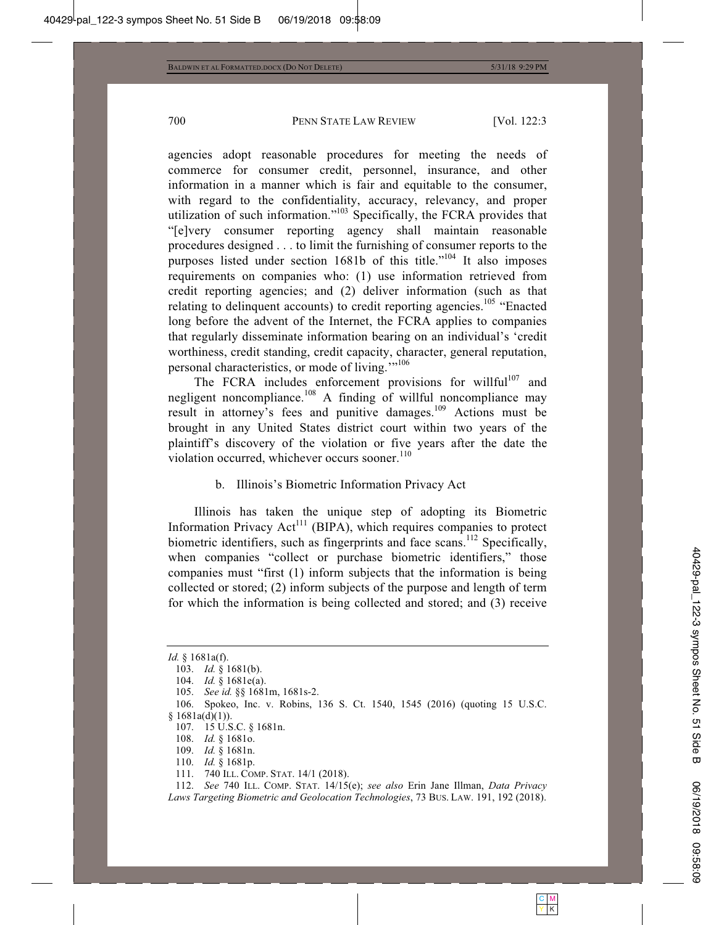agencies adopt reasonable procedures for meeting the needs of commerce for consumer credit, personnel, insurance, and other information in a manner which is fair and equitable to the consumer, with regard to the confidentiality, accuracy, relevancy, and proper utilization of such information."<sup>103</sup> Specifically, the FCRA provides that "[e]very consumer reporting agency shall maintain reasonable procedures designed . . . to limit the furnishing of consumer reports to the purposes listed under section 1681b of this title."<sup>104</sup> It also imposes requirements on companies who: (1) use information retrieved from credit reporting agencies; and (2) deliver information (such as that relating to delinquent accounts) to credit reporting agencies.<sup>105</sup> "Enacted" long before the advent of the Internet, the FCRA applies to companies that regularly disseminate information bearing on an individual's 'credit worthiness, credit standing, credit capacity, character, general reputation, personal characteristics, or mode of living."<sup>106</sup>

The FCRA includes enforcement provisions for willful<sup>107</sup> and negligent noncompliance.<sup>108</sup> A finding of willful noncompliance may result in attorney's fees and punitive damages.109 Actions must be brought in any United States district court within two years of the plaintiff's discovery of the violation or five years after the date the violation occurred, whichever occurs sooner.<sup>110</sup>

#### b. Illinois's Biometric Information Privacy Act

Illinois has taken the unique step of adopting its Biometric Information Privacy Act<sup>111</sup> (BIPA), which requires companies to protect biometric identifiers, such as fingerprints and face scans.<sup>112</sup> Specifically, when companies "collect or purchase biometric identifiers," those companies must "first (1) inform subjects that the information is being collected or stored; (2) inform subjects of the purpose and length of term for which the information is being collected and stored; and (3) receive

- 110. *Id.* § 1681p.
- 111. 740 ILL. COMP. STAT. 14/1 (2018).

*Id.* § 1681a(f).

 <sup>103.</sup> *Id.* § 1681(b).

 <sup>104.</sup> *Id.* § 1681e(a).

 <sup>105.</sup> *See id.* §§ 1681m, 1681s-2.

 <sup>106.</sup> Spokeo, Inc. v. Robins, 136 S. Ct. 1540, 1545 (2016) (quoting 15 U.S.C.  $§ 1681a(d)(1)).$ 

 <sup>107. 15</sup> U.S.C. § 1681n.

 <sup>108.</sup> *Id.* § 1681o.

 <sup>109.</sup> *Id.* § 1681n.

 <sup>112.</sup> *See* 740 ILL. COMP. STAT. 14/15(e); *see also* Erin Jane Illman, *Data Privacy Laws Targeting Biometric and Geolocation Technologies*, 73 BUS. LAW. 191, 192 (2018).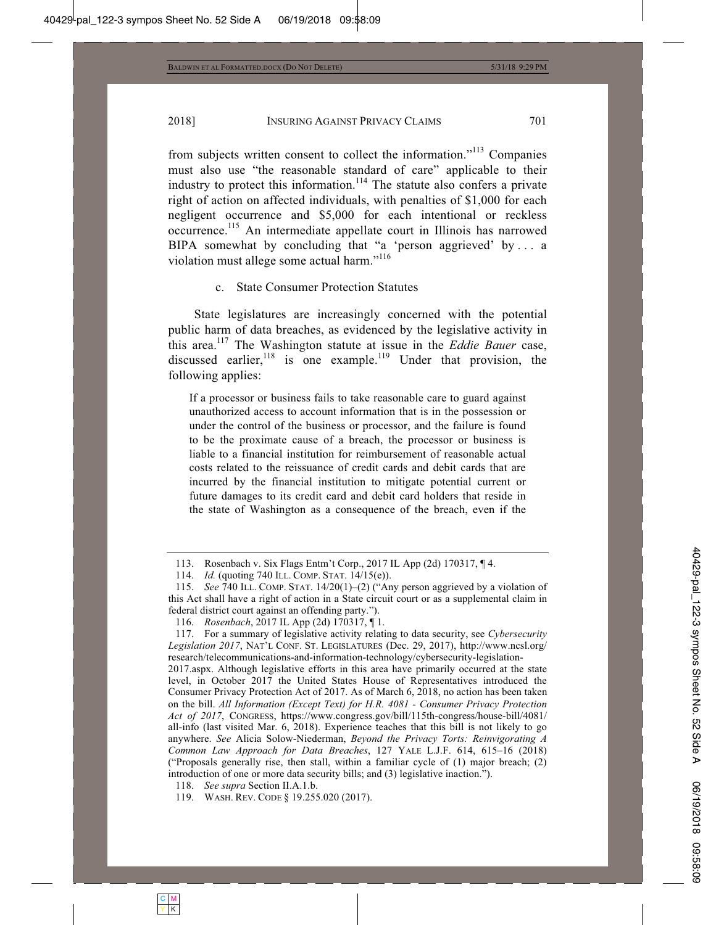from subjects written consent to collect the information."<sup>113</sup> Companies must also use "the reasonable standard of care" applicable to their industry to protect this information.<sup>114</sup> The statute also confers a private right of action on affected individuals, with penalties of \$1,000 for each negligent occurrence and \$5,000 for each intentional or reckless occurrence.115 An intermediate appellate court in Illinois has narrowed BIPA somewhat by concluding that "a 'person aggrieved' by ... a violation must allege some actual harm."<sup>116</sup>

#### c. State Consumer Protection Statutes

State legislatures are increasingly concerned with the potential public harm of data breaches, as evidenced by the legislative activity in this area.<sup>117</sup> The Washington statute at issue in the *Eddie Bauer* case, discussed earlier, $^{118}$  is one example.<sup>119</sup> Under that provision, the following applies:

If a processor or business fails to take reasonable care to guard against unauthorized access to account information that is in the possession or under the control of the business or processor, and the failure is found to be the proximate cause of a breach, the processor or business is liable to a financial institution for reimbursement of reasonable actual costs related to the reissuance of credit cards and debit cards that are incurred by the financial institution to mitigate potential current or future damages to its credit card and debit card holders that reside in the state of Washington as a consequence of the breach, even if the

 <sup>113.</sup> Rosenbach v. Six Flags Entm't Corp., 2017 IL App (2d) 170317, ¶ 4.

 <sup>114.</sup> *Id.* (quoting 740 ILL. COMP. STAT. 14/15(e)).

 <sup>115.</sup> *See* 740 ILL. COMP. STAT. 14/20(1)–(2) ("Any person aggrieved by a violation of this Act shall have a right of action in a State circuit court or as a supplemental claim in federal district court against an offending party.").

 <sup>116.</sup> *Rosenbach*, 2017 IL App (2d) 170317, ¶ 1.

 <sup>117.</sup> For a summary of legislative activity relating to data security, see *Cybersecurity Legislation 2017*, NAT'L CONF. ST. LEGISLATURES (Dec. 29, 2017), http://www.ncsl.org/ research/telecommunications-and-information-technology/cybersecurity-legislation-

<sup>2017.</sup>aspx. Although legislative efforts in this area have primarily occurred at the state level, in October 2017 the United States House of Representatives introduced the Consumer Privacy Protection Act of 2017. As of March 6, 2018, no action has been taken on the bill. *All Information (Except Text) for H.R. 4081 - Consumer Privacy Protection Act of 2017*, CONGRESS, https://www.congress.gov/bill/115th-congress/house-bill/4081/ all-info (last visited Mar. 6, 2018). Experience teaches that this bill is not likely to go anywhere. *See* Alicia Solow-Niederman, *Beyond the Privacy Torts: Reinvigorating A Common Law Approach for Data Breaches*, 127 YALE L.J.F. 614, 615–16 (2018) ("Proposals generally rise, then stall, within a familiar cycle of  $(1)$  major breach;  $(2)$ introduction of one or more data security bills; and (3) legislative inaction.").

 <sup>118.</sup> *See supra* Section II.A.1.b.

 <sup>119.</sup> WASH. REV. CODE § 19.255.020 (2017).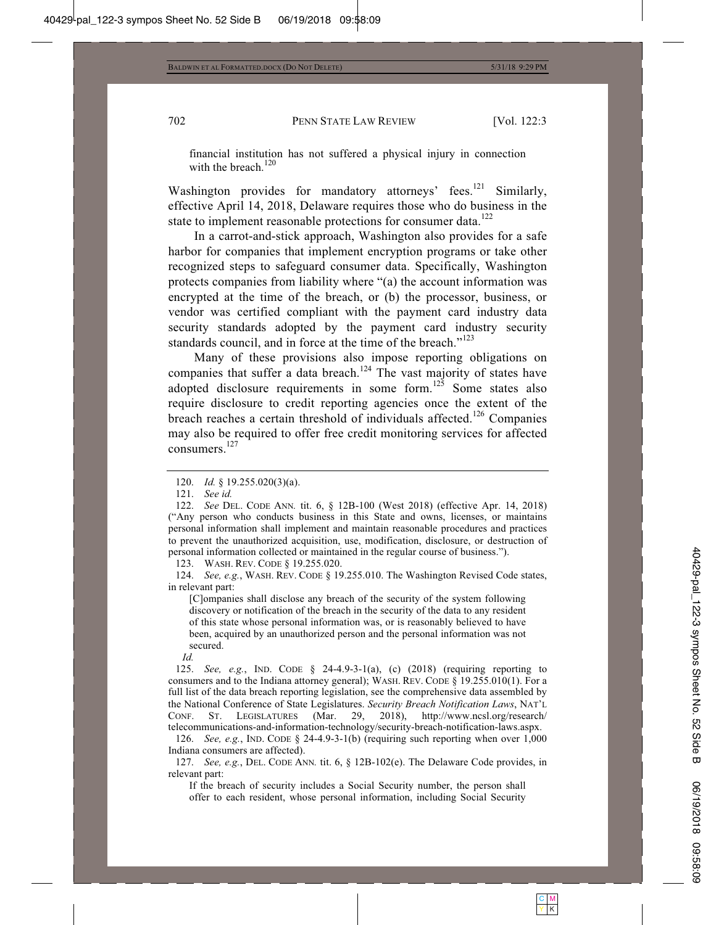financial institution has not suffered a physical injury in connection with the breach.<sup>120</sup>

Washington provides for mandatory attorneys' fees.<sup>121</sup> Similarly, effective April 14, 2018, Delaware requires those who do business in the state to implement reasonable protections for consumer data.<sup>122</sup>

In a carrot-and-stick approach, Washington also provides for a safe harbor for companies that implement encryption programs or take other recognized steps to safeguard consumer data. Specifically, Washington protects companies from liability where "(a) the account information was encrypted at the time of the breach, or (b) the processor, business, or vendor was certified compliant with the payment card industry data security standards adopted by the payment card industry security standards council, and in force at the time of the breach."<sup>123</sup>

Many of these provisions also impose reporting obligations on companies that suffer a data breach.<sup>124</sup> The vast majority of states have adopted disclosure requirements in some form. $125$  Some states also require disclosure to credit reporting agencies once the extent of the breach reaches a certain threshold of individuals affected.<sup>126</sup> Companies may also be required to offer free credit monitoring services for affected consumers.127

123. WASH. REV. CODE § 19.255.020.

 124. *See, e.g.*, WASH. REV. CODE § 19.255.010. The Washington Revised Code states, in relevant part:

[C]ompanies shall disclose any breach of the security of the system following discovery or notification of the breach in the security of the data to any resident of this state whose personal information was, or is reasonably believed to have been, acquired by an unauthorized person and the personal information was not secured.

*Id.*

 125. *See, e.g.*, IND. CODE § 24-4.9-3-1(a), (c) (2018) (requiring reporting to consumers and to the Indiana attorney general); WASH. REV. CODE § 19.255.010(1). For a full list of the data breach reporting legislation, see the comprehensive data assembled by the National Conference of State Legislatures. *Security Breach Notification Laws*, NAT'L CONF. ST. LEGISLATURES (Mar. 29, 2018), http://www.ncsl.org/research/ telecommunications-and-information-technology/security-breach-notification-laws.aspx.

 126. *See, e.g.*, IND. CODE § 24-4.9-3-1(b) (requiring such reporting when over 1,000 Indiana consumers are affected).

 127. *See, e.g.*, DEL. CODE ANN*.* tit. 6, § 12B-102(e). The Delaware Code provides, in relevant part:

If the breach of security includes a Social Security number, the person shall offer to each resident, whose personal information, including Social Security

 <sup>120.</sup> *Id.* § 19.255.020(3)(a).

 <sup>121.</sup> *See id.*

 <sup>122.</sup> *See* DEL. CODE ANN*.* tit. 6, § 12B-100 (West 2018) (effective Apr. 14, 2018) ("Any person who conducts business in this State and owns, licenses, or maintains personal information shall implement and maintain reasonable procedures and practices to prevent the unauthorized acquisition, use, modification, disclosure, or destruction of personal information collected or maintained in the regular course of business.").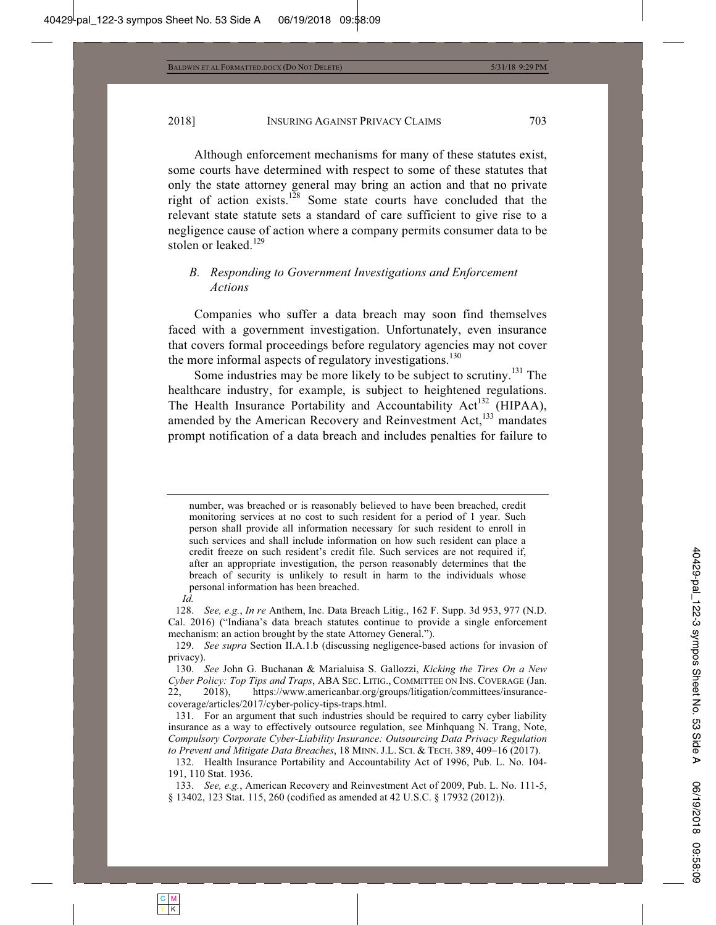Although enforcement mechanisms for many of these statutes exist, some courts have determined with respect to some of these statutes that only the state attorney general may bring an action and that no private right of action exists.128 Some state courts have concluded that the relevant state statute sets a standard of care sufficient to give rise to a negligence cause of action where a company permits consumer data to be stolen or leaked. $129$ 

# *B. Responding to Government Investigations and Enforcement Actions*

Companies who suffer a data breach may soon find themselves faced with a government investigation. Unfortunately, even insurance that covers formal proceedings before regulatory agencies may not cover the more informal aspects of regulatory investigations. $130$ 

Some industries may be more likely to be subject to scrutiny.<sup>131</sup> The healthcare industry, for example, is subject to heightened regulations. The Health Insurance Portability and Accountability Act<sup>132</sup> (HIPAA), amended by the American Recovery and Reinvestment Act,<sup>133</sup> mandates prompt notification of a data breach and includes penalties for failure to

number, was breached or is reasonably believed to have been breached, credit monitoring services at no cost to such resident for a period of 1 year. Such person shall provide all information necessary for such resident to enroll in such services and shall include information on how such resident can place a credit freeze on such resident's credit file. Such services are not required if, after an appropriate investigation, the person reasonably determines that the breach of security is unlikely to result in harm to the individuals whose personal information has been breached.

 128. *See, e.g.*, *In re* Anthem, Inc. Data Breach Litig., 162 F. Supp. 3d 953, 977 (N.D. Cal. 2016) ("Indiana's data breach statutes continue to provide a single enforcement mechanism: an action brought by the state Attorney General.").

*Id.*

 <sup>129.</sup> *See supra* Section II.A.1.b (discussing negligence-based actions for invasion of privacy).

 <sup>130.</sup> *See* John G. Buchanan & Marialuisa S. Gallozzi, *Kicking the Tires On a New Cyber Policy: Top Tips and Traps*, ABA SEC. LITIG., COMMITTEE ON INS. COVERAGE (Jan. 22, 2018), https://www.americanbar.org/groups/litigation/committees/insurancecoverage/articles/2017/cyber-policy-tips-traps.html.

 <sup>131.</sup> For an argument that such industries should be required to carry cyber liability insurance as a way to effectively outsource regulation, see Minhquang N. Trang, Note, *Compulsory Corporate Cyber-Liability Insurance: Outsourcing Data Privacy Regulation to Prevent and Mitigate Data Breaches*, 18 MINN. J.L. SCI.&TECH. 389, 409–16 (2017).

 <sup>132.</sup> Health Insurance Portability and Accountability Act of 1996, Pub. L. No. 104- 191, 110 Stat. 1936.

 <sup>133.</sup> *See, e.g.*, American Recovery and Reinvestment Act of 2009, Pub. L. No. 111-5, § 13402, 123 Stat. 115, 260 (codified as amended at 42 U.S.C. § 17932 (2012)).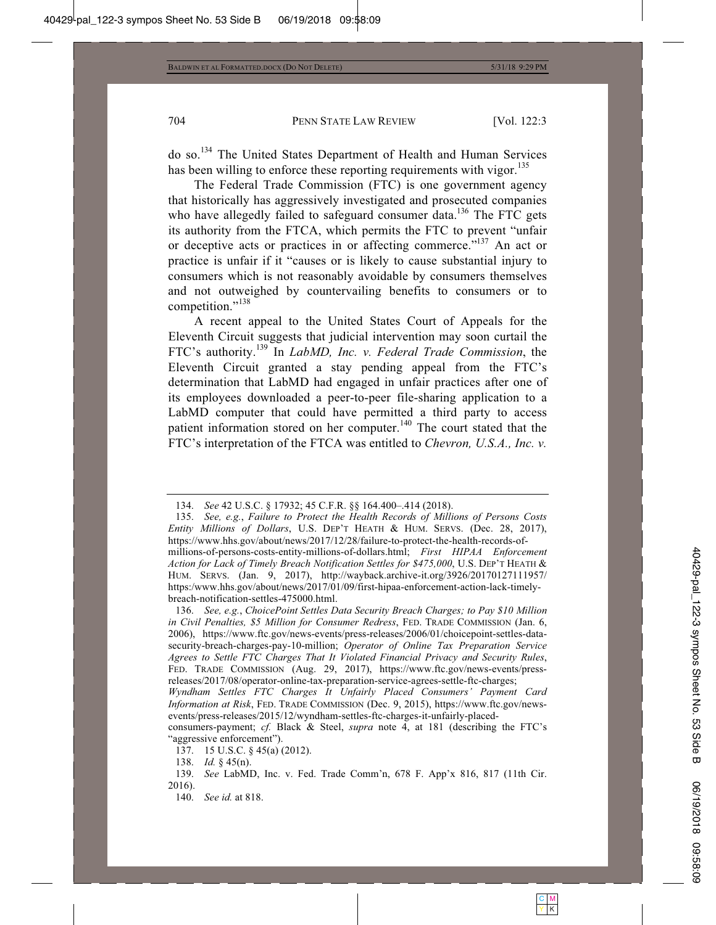do so.134 The United States Department of Health and Human Services has been willing to enforce these reporting requirements with vigor.<sup>135</sup>

The Federal Trade Commission (FTC) is one government agency that historically has aggressively investigated and prosecuted companies who have allegedly failed to safeguard consumer data.<sup>136</sup> The FTC gets its authority from the FTCA, which permits the FTC to prevent "unfair or deceptive acts or practices in or affecting commerce."<sup>137</sup> An act or practice is unfair if it "causes or is likely to cause substantial injury to consumers which is not reasonably avoidable by consumers themselves and not outweighed by countervailing benefits to consumers or to competition."<sup>138</sup>

A recent appeal to the United States Court of Appeals for the Eleventh Circuit suggests that judicial intervention may soon curtail the FTC's authority.139 In *LabMD, Inc. v. Federal Trade Commission*, the Eleventh Circuit granted a stay pending appeal from the FTC's determination that LabMD had engaged in unfair practices after one of its employees downloaded a peer-to-peer file-sharing application to a LabMD computer that could have permitted a third party to access patient information stored on her computer.<sup>140</sup> The court stated that the FTC's interpretation of the FTCA was entitled to *Chevron, U.S.A., Inc. v.* 

 135. *See, e.g.*, *Failure to Protect the Health Records of Millions of Persons Costs Entity Millions of Dollars*, U.S. DEP'T HEATH & HUM. SERVS. (Dec. 28, 2017), https://www.hhs.gov/about/news/2017/12/28/failure-to-protect-the-health-records-ofmillions-of-persons-costs-entity-millions-of-dollars.html; *First HIPAA Enforcement Action for Lack of Timely Breach Notification Settles for \$475,000*, U.S. DEP'T HEATH & HUM. SERVS. (Jan. 9, 2017), http://wayback.archive-it.org/3926/20170127111957/ https:/www.hhs.gov/about/news/2017/01/09/first-hipaa-enforcement-action-lack-timelybreach-notification-settles-475000.html.

 136. *See, e.g.*, *ChoicePoint Settles Data Security Breach Charges; to Pay \$10 Million in Civil Penalties, \$5 Million for Consumer Redress*, FED. TRADE COMMISSION (Jan. 6, 2006), https://www.ftc.gov/news-events/press-releases/2006/01/choicepoint-settles-datasecurity-breach-charges-pay-10-million; *Operator of Online Tax Preparation Service Agrees to Settle FTC Charges That It Violated Financial Privacy and Security Rules*, FED. TRADE COMMISSION (Aug. 29, 2017), https://www.ftc.gov/news-events/pressreleases/2017/08/operator-online-tax-preparation-service-agrees-settle-ftc-charges;

 <sup>134.</sup> *See* 42 U.S.C. § 17932; 45 C.F.R. §§ 164.400–.414 (2018).

*Wyndham Settles FTC Charges It Unfairly Placed Consumers' Payment Card Information at Risk*, FED. TRADE COMMISSION (Dec. 9, 2015), https://www.ftc.gov/newsevents/press-releases/2015/12/wyndham-settles-ftc-charges-it-unfairly-placed-

consumers-payment; *cf.* Black & Steel, *supra* note 4, at 181 (describing the FTC's "aggressive enforcement").

 <sup>137. 15</sup> U.S.C. § 45(a) (2012).

 <sup>138.</sup> *Id.* § 45(n).

 <sup>139.</sup> *See* LabMD, Inc. v. Fed. Trade Comm'n, 678 F. App'x 816, 817 (11th Cir. 2016).

 <sup>140.</sup> *See id.* at 818.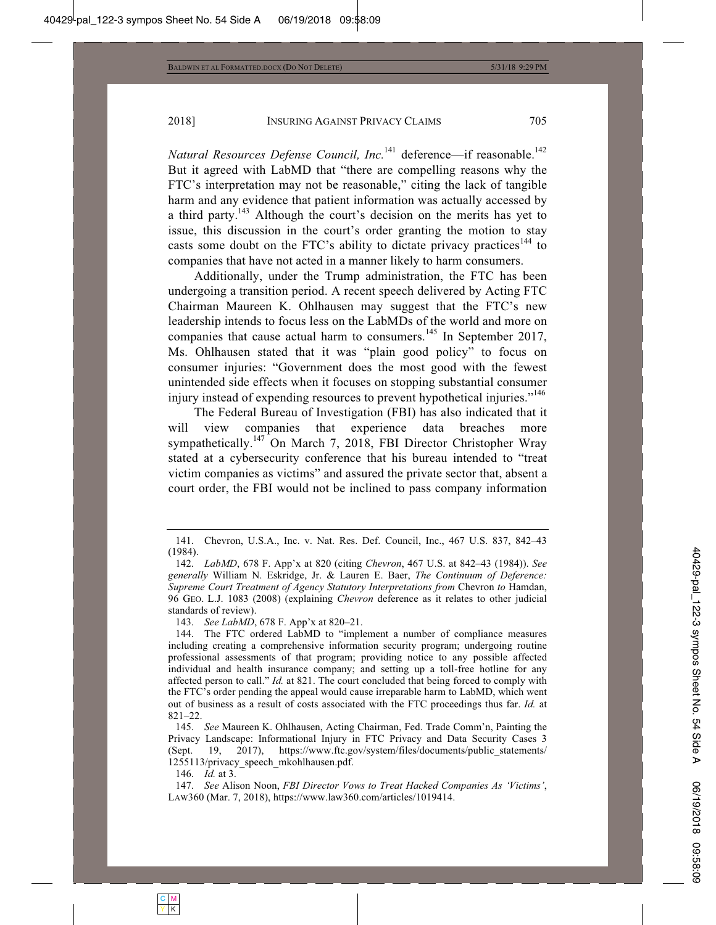*Natural Resources Defense Council, Inc.*<sup>141</sup> deference—if reasonable.<sup>142</sup> But it agreed with LabMD that "there are compelling reasons why the FTC's interpretation may not be reasonable," citing the lack of tangible harm and any evidence that patient information was actually accessed by a third party.<sup>143</sup> Although the court's decision on the merits has yet to issue, this discussion in the court's order granting the motion to stay casts some doubt on the FTC's ability to dictate privacy practices<sup>144</sup> to companies that have not acted in a manner likely to harm consumers.

Additionally, under the Trump administration, the FTC has been undergoing a transition period. A recent speech delivered by Acting FTC Chairman Maureen K. Ohlhausen may suggest that the FTC's new leadership intends to focus less on the LabMDs of the world and more on companies that cause actual harm to consumers.<sup>145</sup> In September 2017, Ms. Ohlhausen stated that it was "plain good policy" to focus on consumer injuries: "Government does the most good with the fewest unintended side effects when it focuses on stopping substantial consumer injury instead of expending resources to prevent hypothetical injuries."<sup>146</sup>

The Federal Bureau of Investigation (FBI) has also indicated that it will view companies that experience data breaches more sympathetically.<sup>147</sup> On March 7, 2018, FBI Director Christopher Wray stated at a cybersecurity conference that his bureau intended to "treat victim companies as victims" and assured the private sector that, absent a court order, the FBI would not be inclined to pass company information

143. *See LabMD*, 678 F. App'x at 820–21.

146. *Id.* at 3.

 <sup>141.</sup> Chevron, U.S.A., Inc. v. Nat. Res. Def. Council, Inc., 467 U.S. 837, 842–43 (1984).

 <sup>142.</sup> *LabMD*, 678 F. App'x at 820 (citing *Chevron*, 467 U.S. at 842–43 (1984)). *See generally* William N. Eskridge, Jr. & Lauren E. Baer, *The Continuum of Deference: Supreme Court Treatment of Agency Statutory Interpretations from Chevron to Hamdan,* 96 GEO. L.J. 1083 (2008) (explaining *Chevron* deference as it relates to other judicial standards of review).

 <sup>144.</sup> The FTC ordered LabMD to "implement a number of compliance measures including creating a comprehensive information security program; undergoing routine professional assessments of that program; providing notice to any possible affected individual and health insurance company; and setting up a toll-free hotline for any affected person to call." *Id.* at 821. The court concluded that being forced to comply with the FTC's order pending the appeal would cause irreparable harm to LabMD, which went out of business as a result of costs associated with the FTC proceedings thus far. *Id.* at 821–22.

 <sup>145.</sup> *See* Maureen K. Ohlhausen, Acting Chairman, Fed. Trade Comm'n, Painting the Privacy Landscape: Informational Injury in FTC Privacy and Data Security Cases 3 (Sept. 19, 2017), https://www.ftc.gov/system/files/documents/public statements/ 1255113/privacy\_speech\_mkohlhausen.pdf.

 <sup>147.</sup> *See* Alison Noon, *FBI Director Vows to Treat Hacked Companies As 'Victims'*, LAW360 (Mar. 7, 2018), https://www.law360.com/articles/1019414.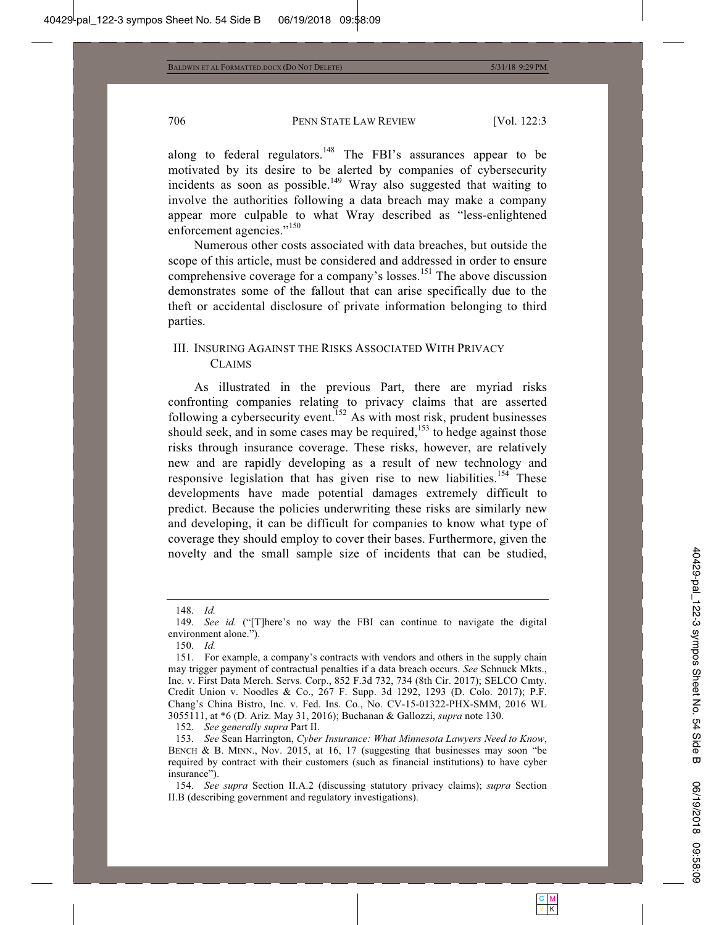along to federal regulators.<sup>148</sup> The FBI's assurances appear to be motivated by its desire to be alerted by companies of cybersecurity incidents as soon as possible.<sup>149</sup> Wray also suggested that waiting to involve the authorities following a data breach may make a company appear more culpable to what Wray described as "less-enlightened enforcement agencies."<sup>150</sup>

Numerous other costs associated with data breaches, but outside the scope of this article, must be considered and addressed in order to ensure comprehensive coverage for a company's losses.<sup>151</sup> The above discussion demonstrates some of the fallout that can arise specifically due to the theft or accidental disclosure of private information belonging to third parties.

# III. INSURING AGAINST THE RISKS ASSOCIATED WITH PRIVACY CLAIMS

As illustrated in the previous Part, there are myriad risks confronting companies relating to privacy claims that are asserted following a cybersecurity event.<sup>152</sup> As with most risk, prudent businesses should seek, and in some cases may be required, $153$  to hedge against those risks through insurance coverage. These risks, however, are relatively new and are rapidly developing as a result of new technology and responsive legislation that has given rise to new liabilities.<sup>154</sup> These developments have made potential damages extremely difficult to predict. Because the policies underwriting these risks are similarly new and developing, it can be difficult for companies to know what type of coverage they should employ to cover their bases. Furthermore, given the novelty and the small sample size of incidents that can be studied,

152. *See generally supra* Part II.

 <sup>148.</sup> *Id.*

 <sup>149.</sup> *See id.* ("[T]here's no way the FBI can continue to navigate the digital environment alone.").

 <sup>150.</sup> *Id.*

 <sup>151.</sup> For example, a company's contracts with vendors and others in the supply chain may trigger payment of contractual penalties if a data breach occurs. *See* Schnuck Mkts., Inc. v. First Data Merch. Servs. Corp., 852 F.3d 732, 734 (8th Cir. 2017); SELCO Cmty. Credit Union v. Noodles & Co., 267 F. Supp. 3d 1292, 1293 (D. Colo. 2017); P.F. Chang's China Bistro, Inc. v. Fed. Ins. Co., No. CV-15-01322-PHX-SMM, 2016 WL 3055111, at \*6 (D. Ariz. May 31, 2016); Buchanan & Gallozzi, *supra* note 130.

 <sup>153.</sup> *See* Sean Harrington, *Cyber Insurance: What Minnesota Lawyers Need to Know*, BENCH & B. MINN., Nov. 2015, at 16, 17 (suggesting that businesses may soon "be required by contract with their customers (such as financial institutions) to have cyber insurance").

 <sup>154.</sup> *See supra* Section II.A.2 (discussing statutory privacy claims); *supra* Section II.B (describing government and regulatory investigations).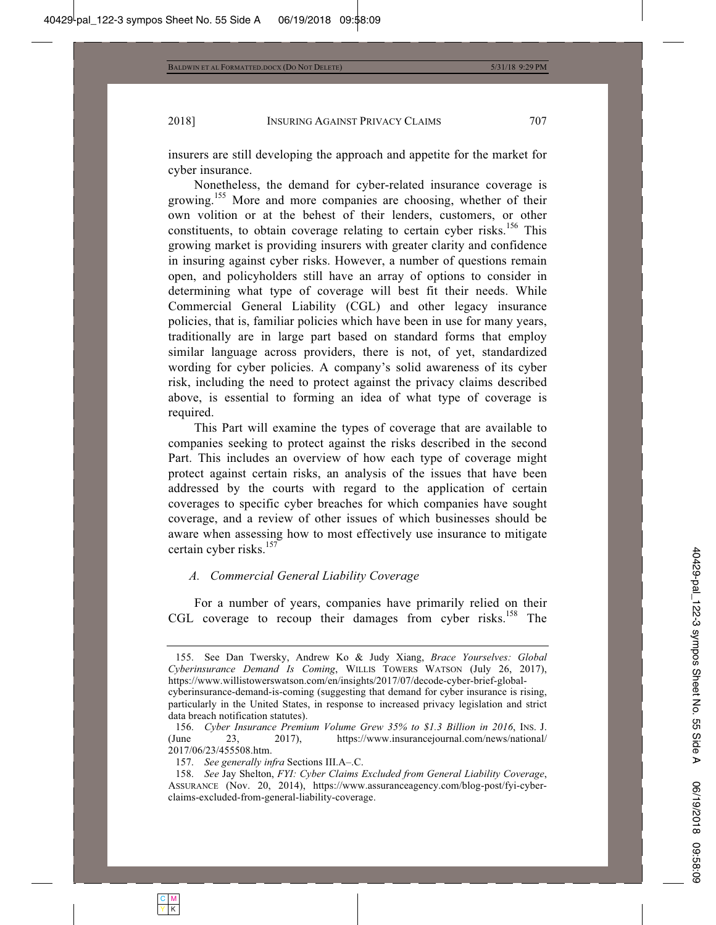insurers are still developing the approach and appetite for the market for cyber insurance.

Nonetheless, the demand for cyber-related insurance coverage is growing.<sup>155</sup> More and more companies are choosing, whether of their own volition or at the behest of their lenders, customers, or other constituents, to obtain coverage relating to certain cyber risks.<sup>156</sup> This growing market is providing insurers with greater clarity and confidence in insuring against cyber risks. However, a number of questions remain open, and policyholders still have an array of options to consider in determining what type of coverage will best fit their needs. While Commercial General Liability (CGL) and other legacy insurance policies, that is, familiar policies which have been in use for many years, traditionally are in large part based on standard forms that employ similar language across providers, there is not, of yet, standardized wording for cyber policies. A company's solid awareness of its cyber risk, including the need to protect against the privacy claims described above, is essential to forming an idea of what type of coverage is required.

This Part will examine the types of coverage that are available to companies seeking to protect against the risks described in the second Part. This includes an overview of how each type of coverage might protect against certain risks, an analysis of the issues that have been addressed by the courts with regard to the application of certain coverages to specific cyber breaches for which companies have sought coverage, and a review of other issues of which businesses should be aware when assessing how to most effectively use insurance to mitigate certain cyber risks.<sup>157</sup>

# *A. Commercial General Liability Coverage*

For a number of years, companies have primarily relied on their CGL coverage to recoup their damages from cyber risks.<sup>158</sup> The

 <sup>155.</sup> See Dan Twersky, Andrew Ko & Judy Xiang, *Brace Yourselves: Global Cyberinsurance Demand Is Coming*, WILLIS TOWERS WATSON (July 26, 2017), https://www.willistowerswatson.com/en/insights/2017/07/decode-cyber-brief-globalcyberinsurance-demand-is-coming (suggesting that demand for cyber insurance is rising, particularly in the United States, in response to increased privacy legislation and strict data breach notification statutes).

 <sup>156.</sup> *Cyber Insurance Premium Volume Grew 35% to \$1.3 Billion in 2016*, INS. J. (June 23, 2017), https://www.insurancejournal.com/news/national/ 2017/06/23/455508.htm.

 <sup>157.</sup> *See generally infra* Sections III.A–.C.

 <sup>158.</sup> *See* Jay Shelton, *FYI: Cyber Claims Excluded from General Liability Coverage*, ASSURANCE (Nov. 20, 2014), https://www.assuranceagency.com/blog-post/fyi-cyberclaims-excluded-from-general-liability-coverage.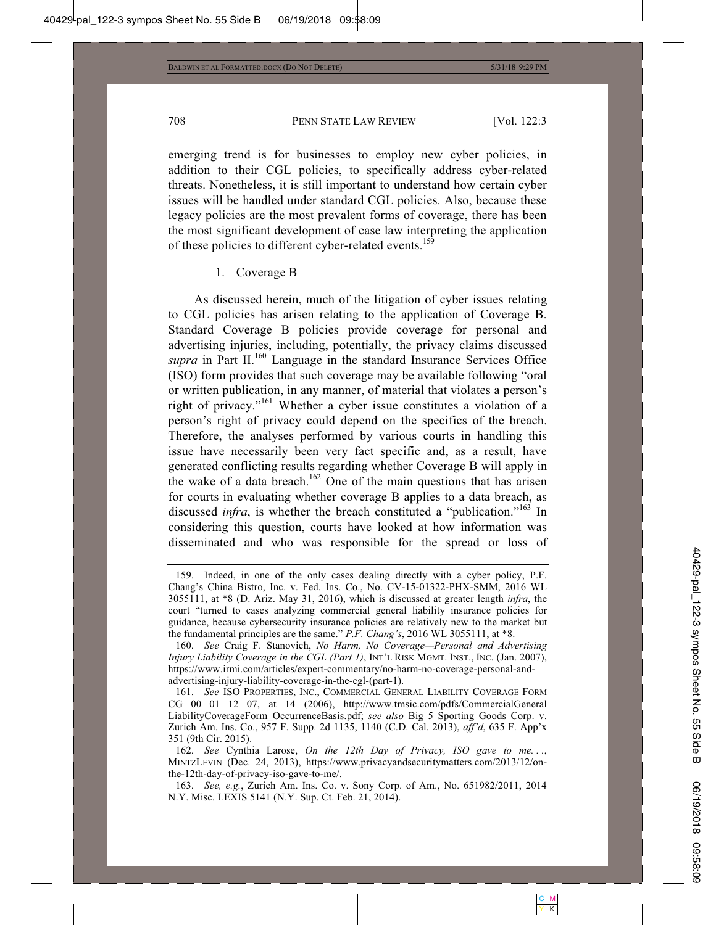emerging trend is for businesses to employ new cyber policies, in addition to their CGL policies, to specifically address cyber-related threats. Nonetheless, it is still important to understand how certain cyber issues will be handled under standard CGL policies. Also, because these legacy policies are the most prevalent forms of coverage, there has been the most significant development of case law interpreting the application of these policies to different cyber-related events.<sup>159</sup>

#### 1. Coverage B

As discussed herein, much of the litigation of cyber issues relating to CGL policies has arisen relating to the application of Coverage B. Standard Coverage B policies provide coverage for personal and advertising injuries, including, potentially, the privacy claims discussed *supra* in Part II.<sup>160</sup> Language in the standard Insurance Services Office (ISO) form provides that such coverage may be available following "oral or written publication, in any manner, of material that violates a person's right of privacy."161 Whether a cyber issue constitutes a violation of a person's right of privacy could depend on the specifics of the breach. Therefore, the analyses performed by various courts in handling this issue have necessarily been very fact specific and, as a result, have generated conflicting results regarding whether Coverage B will apply in the wake of a data breach.<sup>162</sup> One of the main questions that has arisen for courts in evaluating whether coverage B applies to a data breach, as discussed *infra*, is whether the breach constituted a "publication."<sup>163</sup> In considering this question, courts have looked at how information was disseminated and who was responsible for the spread or loss of

 <sup>159.</sup> Indeed, in one of the only cases dealing directly with a cyber policy, P.F. Chang's China Bistro, Inc. v. Fed. Ins. Co., No. CV-15-01322-PHX-SMM, 2016 WL 3055111, at \*8 (D. Ariz. May 31, 2016), which is discussed at greater length *infra*, the court "turned to cases analyzing commercial general liability insurance policies for guidance, because cybersecurity insurance policies are relatively new to the market but the fundamental principles are the same." *P.F. Chang's*, 2016 WL 3055111, at \*8.

 <sup>160.</sup> *See* Craig F. Stanovich, *No Harm, No Coverage—Personal and Advertising Injury Liability Coverage in the CGL (Part 1)*, INT'L RISK MGMT. INST., INC. (Jan. 2007), https://www.irmi.com/articles/expert-commentary/no-harm-no-coverage-personal-andadvertising-injury-liability-coverage-in-the-cgl-(part-1).

 <sup>161.</sup> *See* ISO PROPERTIES, INC., COMMERCIAL GENERAL LIABILITY COVERAGE FORM CG 00 01 12 07, at 14 (2006), http://www.tmsic.com/pdfs/CommercialGeneral LiabilityCoverageForm\_OccurrenceBasis.pdf; *see also* Big 5 Sporting Goods Corp. v. Zurich Am. Ins. Co., 957 F. Supp. 2d 1135, 1140 (C.D. Cal. 2013), *aff'd*, 635 F. App'x 351 (9th Cir. 2015).

 <sup>162.</sup> *See* Cynthia Larose, *On the 12th Day of Privacy, ISO gave to me. . .*, MINTZLEVIN (Dec. 24, 2013), https://www.privacyandsecuritymatters.com/2013/12/onthe-12th-day-of-privacy-iso-gave-to-me/.

 <sup>163.</sup> *See, e.g.*, Zurich Am. Ins. Co. v. Sony Corp. of Am., No. 651982/2011, 2014 N.Y. Misc. LEXIS 5141 (N.Y. Sup. Ct. Feb. 21, 2014).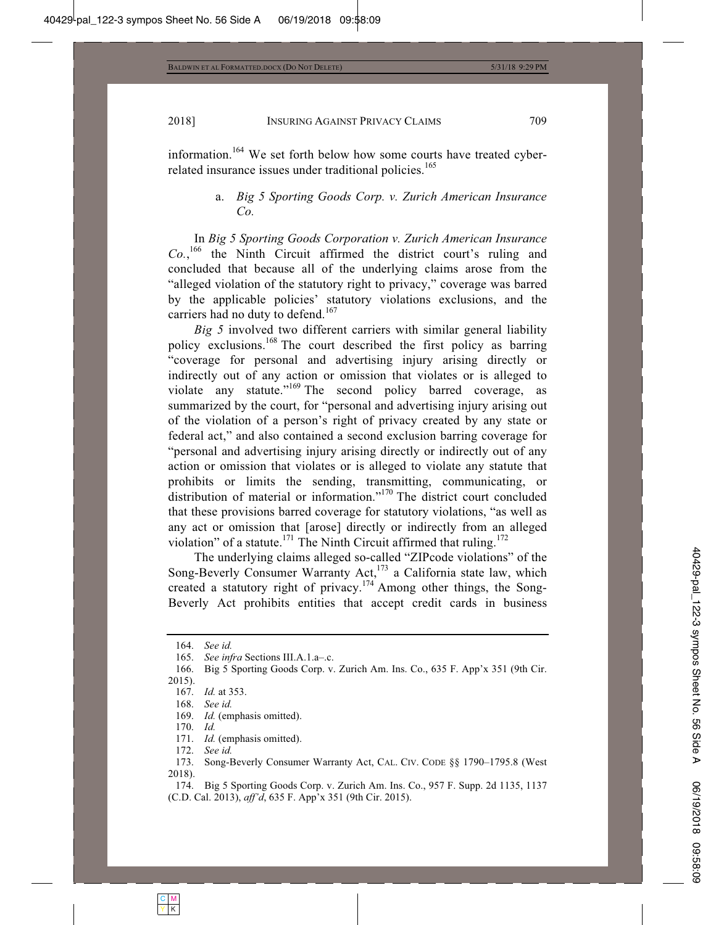information.<sup>164</sup> We set forth below how some courts have treated cyberrelated insurance issues under traditional policies.<sup>165</sup>

# a. *Big 5 Sporting Goods Corp. v. Zurich American Insurance Co.*

In *Big 5 Sporting Goods Corporation v. Zurich American Insurance Co.*, 166 the Ninth Circuit affirmed the district court's ruling and concluded that because all of the underlying claims arose from the "alleged violation of the statutory right to privacy," coverage was barred by the applicable policies' statutory violations exclusions, and the carriers had no duty to defend.<sup>167</sup>

*Big 5* involved two different carriers with similar general liability policy exclusions.<sup>168</sup> The court described the first policy as barring "coverage for personal and advertising injury arising directly or indirectly out of any action or omission that violates or is alleged to violate any statute."<sup>169</sup> The second policy barred coverage, as summarized by the court, for "personal and advertising injury arising out of the violation of a person's right of privacy created by any state or federal act," and also contained a second exclusion barring coverage for "personal and advertising injury arising directly or indirectly out of any action or omission that violates or is alleged to violate any statute that prohibits or limits the sending, transmitting, communicating, or distribution of material or information."<sup>170</sup> The district court concluded that these provisions barred coverage for statutory violations, "as well as any act or omission that [arose] directly or indirectly from an alleged violation" of a statute.<sup>171</sup> The Ninth Circuit affirmed that ruling.<sup>172</sup>

The underlying claims alleged so-called "ZIPcode violations" of the Song-Beverly Consumer Warranty  $Act, ^{173}$  a California state law, which created a statutory right of privacy.<sup>174</sup> Among other things, the Song-Beverly Act prohibits entities that accept credit cards in business

171. *Id.* (emphasis omitted).

 <sup>164.</sup> *See id.*

 <sup>165.</sup> *See infra* Sections III.A.1.a–.c.

 <sup>166.</sup> Big 5 Sporting Goods Corp. v. Zurich Am. Ins. Co., 635 F. App'x 351 (9th Cir. 2015).

 <sup>167.</sup> *Id.* at 353.

 <sup>168.</sup> *See id.*

 <sup>169.</sup> *Id.* (emphasis omitted).

 <sup>170.</sup> *Id.*

 <sup>172.</sup> *See id.*

 <sup>173.</sup> Song-Beverly Consumer Warranty Act, CAL. CIV. CODE §§ 1790–1795.8 (West 2018).

 <sup>174.</sup> Big 5 Sporting Goods Corp. v. Zurich Am. Ins. Co., 957 F. Supp. 2d 1135, 1137 (C.D. Cal. 2013), *aff'd*, 635 F. App'x 351 (9th Cir. 2015).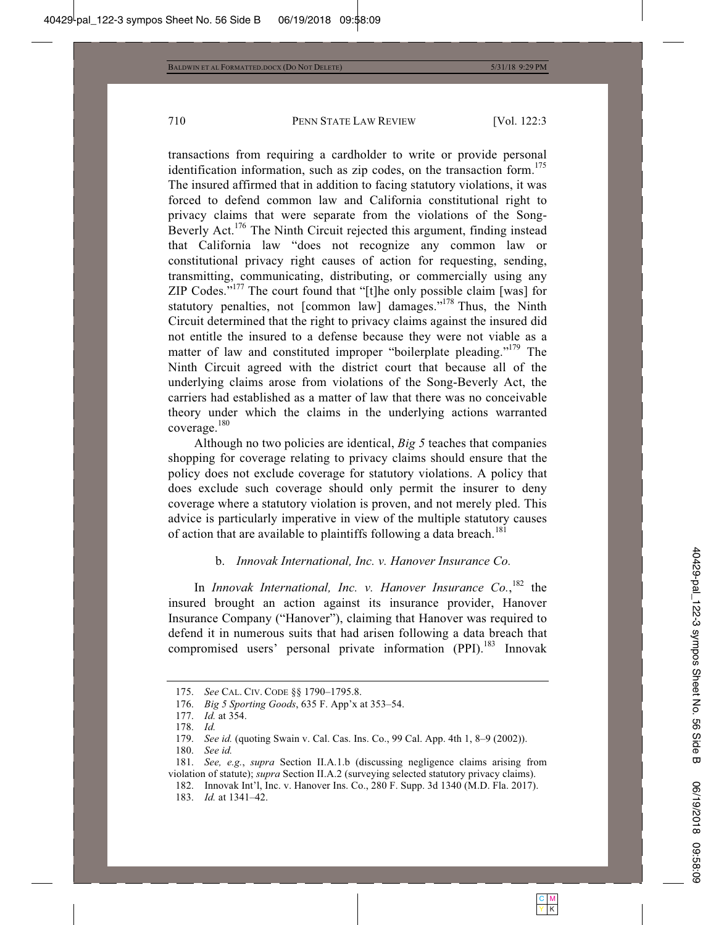transactions from requiring a cardholder to write or provide personal identification information, such as zip codes, on the transaction form.<sup>175</sup> The insured affirmed that in addition to facing statutory violations, it was forced to defend common law and California constitutional right to privacy claims that were separate from the violations of the Song-Beverly Act.<sup>176</sup> The Ninth Circuit rejected this argument, finding instead that California law "does not recognize any common law or constitutional privacy right causes of action for requesting, sending, transmitting, communicating, distributing, or commercially using any ZIP Codes."177 The court found that "[t]he only possible claim [was] for statutory penalties, not [common law] damages."<sup>178</sup> Thus, the Ninth Circuit determined that the right to privacy claims against the insured did not entitle the insured to a defense because they were not viable as a matter of law and constituted improper "boilerplate pleading."<sup>179</sup> The Ninth Circuit agreed with the district court that because all of the underlying claims arose from violations of the Song-Beverly Act, the carriers had established as a matter of law that there was no conceivable theory under which the claims in the underlying actions warranted coverage.<sup>180</sup>

Although no two policies are identical, *Big 5* teaches that companies shopping for coverage relating to privacy claims should ensure that the policy does not exclude coverage for statutory violations. A policy that does exclude such coverage should only permit the insurer to deny coverage where a statutory violation is proven, and not merely pled. This advice is particularly imperative in view of the multiple statutory causes of action that are available to plaintiffs following a data breach.<sup>181</sup>

# b. *Innovak International, Inc. v. Hanover Insurance Co.*

In *Innovak International, Inc. v. Hanover Insurance Co.*, 182 the insured brought an action against its insurance provider, Hanover Insurance Company ("Hanover"), claiming that Hanover was required to defend it in numerous suits that had arisen following a data breach that compromised users' personal private information (PPI).<sup>183</sup> Innovak

 <sup>175.</sup> *See* CAL. CIV. CODE §§ 1790–1795.8.

 <sup>176.</sup> *Big 5 Sporting Goods*, 635 F. App'x at 353–54.

 <sup>177.</sup> *Id.* at 354.

 <sup>178.</sup> *Id.*

 <sup>179.</sup> *See id.* (quoting Swain v. Cal. Cas. Ins. Co., 99 Cal. App. 4th 1, 8–9 (2002)).

 <sup>180.</sup> *See id.*

 <sup>181.</sup> *See, e.g.*, *supra* Section II.A.1.b (discussing negligence claims arising from violation of statute); *supra* Section II.A.2 (surveying selected statutory privacy claims).

 <sup>182.</sup> Innovak Int'l, Inc. v. Hanover Ins. Co., 280 F. Supp. 3d 1340 (M.D. Fla. 2017).

 <sup>183.</sup> *Id.* at 1341–42.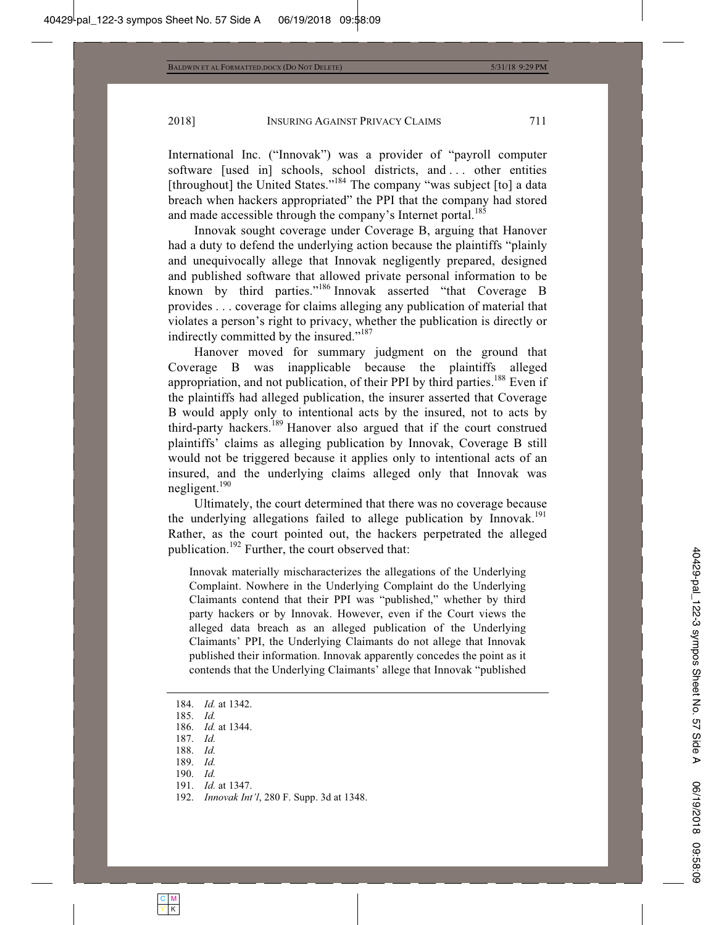International Inc. ("Innovak") was a provider of "payroll computer software [used in] schools, school districts, and ... other entities [throughout] the United States."<sup>184</sup> The company "was subject [to] a data breach when hackers appropriated" the PPI that the company had stored and made accessible through the company's Internet portal.<sup>185</sup>

Innovak sought coverage under Coverage B, arguing that Hanover had a duty to defend the underlying action because the plaintiffs "plainly and unequivocally allege that Innovak negligently prepared, designed and published software that allowed private personal information to be known by third parties."186 Innovak asserted "that Coverage B provides . . . coverage for claims alleging any publication of material that violates a person's right to privacy, whether the publication is directly or indirectly committed by the insured."<sup>187</sup>

Hanover moved for summary judgment on the ground that Coverage B was inapplicable because the plaintiffs alleged appropriation, and not publication, of their PPI by third parties.<sup>188</sup> Even if the plaintiffs had alleged publication, the insurer asserted that Coverage B would apply only to intentional acts by the insured, not to acts by third-party hackers.189 Hanover also argued that if the court construed plaintiffs' claims as alleging publication by Innovak, Coverage B still would not be triggered because it applies only to intentional acts of an insured, and the underlying claims alleged only that Innovak was negligent. $190$ 

Ultimately, the court determined that there was no coverage because the underlying allegations failed to allege publication by Innovak.<sup>191</sup> Rather, as the court pointed out, the hackers perpetrated the alleged publication.<sup>192</sup> Further, the court observed that:

Innovak materially mischaracterizes the allegations of the Underlying Complaint. Nowhere in the Underlying Complaint do the Underlying Claimants contend that their PPI was "published," whether by third party hackers or by Innovak. However, even if the Court views the alleged data breach as an alleged publication of the Underlying Claimants' PPI, the Underlying Claimants do not allege that Innovak published their information. Innovak apparently concedes the point as it contends that the Underlying Claimants' allege that Innovak "published

- 190. *Id.*
- 191. *Id.* at 1347.

 <sup>184.</sup> *Id.* at 1342.

 <sup>185.</sup> *Id.*

 <sup>186.</sup> *Id.* at 1344.

 <sup>187.</sup> *Id.*

 <sup>188.</sup> *Id.*

 <sup>189.</sup> *Id.*

 <sup>192.</sup> *Innovak Int'l*, 280 F. Supp. 3d at 1348.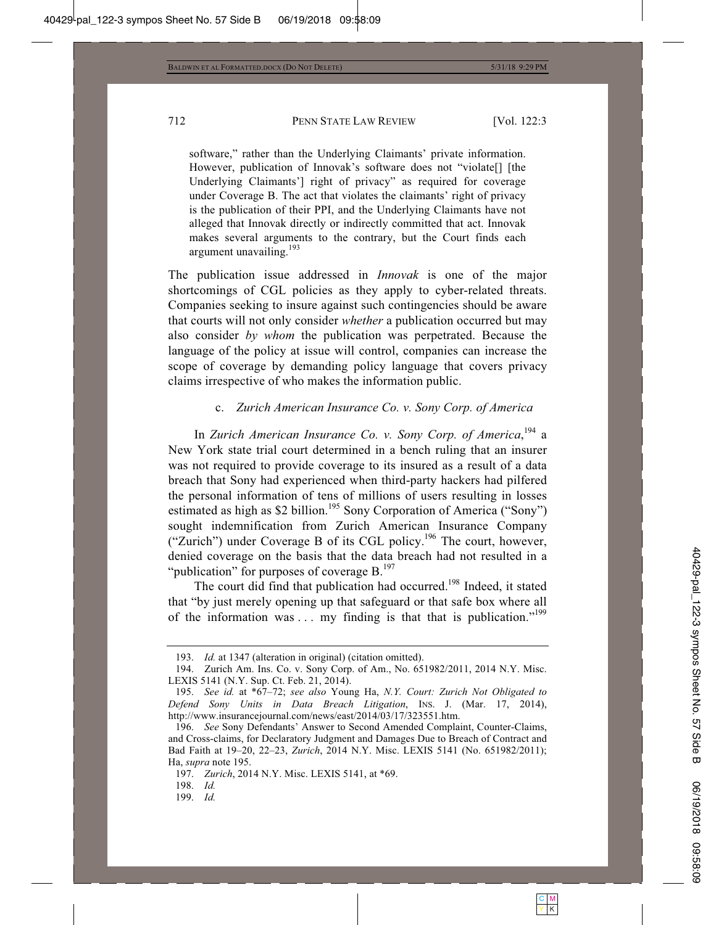software," rather than the Underlying Claimants' private information. However, publication of Innovak's software does not "violate[] [the Underlying Claimants'] right of privacy" as required for coverage under Coverage B. The act that violates the claimants' right of privacy is the publication of their PPI, and the Underlying Claimants have not alleged that Innovak directly or indirectly committed that act. Innovak makes several arguments to the contrary, but the Court finds each argument unavailing.<sup>193</sup>

The publication issue addressed in *Innovak* is one of the major shortcomings of CGL policies as they apply to cyber-related threats. Companies seeking to insure against such contingencies should be aware that courts will not only consider *whether* a publication occurred but may also consider *by whom* the publication was perpetrated. Because the language of the policy at issue will control, companies can increase the scope of coverage by demanding policy language that covers privacy claims irrespective of who makes the information public.

#### c. *Zurich American Insurance Co. v. Sony Corp. of America*

In *Zurich American Insurance Co. v. Sony Corp. of America*, 194 a New York state trial court determined in a bench ruling that an insurer was not required to provide coverage to its insured as a result of a data breach that Sony had experienced when third-party hackers had pilfered the personal information of tens of millions of users resulting in losses estimated as high as \$2 billion.<sup>195</sup> Sony Corporation of America ("Sony") sought indemnification from Zurich American Insurance Company ("Zurich") under Coverage B of its CGL policy.196 The court, however, denied coverage on the basis that the data breach had not resulted in a "publication" for purposes of coverage  $B$ .<sup>197</sup>

The court did find that publication had occurred.<sup>198</sup> Indeed, it stated that "by just merely opening up that safeguard or that safe box where all of the information was ... my finding is that that is publication."<sup>199</sup>

199. *Id.*

 <sup>193.</sup> *Id.* at 1347 (alteration in original) (citation omitted).

 <sup>194.</sup> Zurich Am. Ins. Co. v. Sony Corp. of Am., No. 651982/2011, 2014 N.Y. Misc. LEXIS 5141 (N.Y. Sup. Ct. Feb. 21, 2014).

 <sup>195.</sup> *See id.* at \*67–72; *see also* Young Ha, *N.Y. Court: Zurich Not Obligated to Defend Sony Units in Data Breach Litigation*, INS. J. (Mar. 17, 2014), http://www.insurancejournal.com/news/east/2014/03/17/323551.htm.

 <sup>196.</sup> *See* Sony Defendants' Answer to Second Amended Complaint, Counter-Claims, and Cross-claims, for Declaratory Judgment and Damages Due to Breach of Contract and Bad Faith at 19–20, 22–23, *Zurich*, 2014 N.Y. Misc. LEXIS 5141 (No. 651982/2011); Ha, *supra* note 195.

 <sup>197.</sup> *Zurich*, 2014 N.Y. Misc. LEXIS 5141, at \*69.

 <sup>198.</sup> *Id.*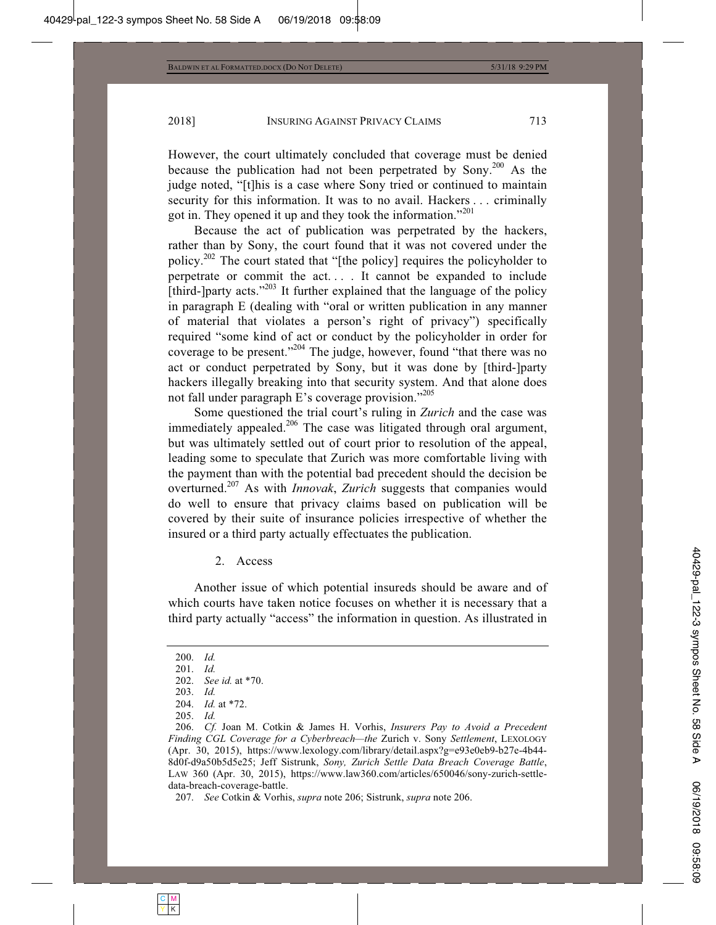However, the court ultimately concluded that coverage must be denied because the publication had not been perpetrated by Sony.<sup>200</sup> As the judge noted, "[t]his is a case where Sony tried or continued to maintain security for this information. It was to no avail. Hackers . . . criminally got in. They opened it up and they took the information."<sup>201</sup>

Because the act of publication was perpetrated by the hackers, rather than by Sony, the court found that it was not covered under the policy.202 The court stated that "[the policy] requires the policyholder to perpetrate or commit the act. . . . It cannot be expanded to include [third-]party acts."<sup>203</sup> It further explained that the language of the policy in paragraph E (dealing with "oral or written publication in any manner of material that violates a person's right of privacy") specifically required "some kind of act or conduct by the policyholder in order for coverage to be present."<sup>204</sup> The judge, however, found "that there was no act or conduct perpetrated by Sony, but it was done by [third-]party hackers illegally breaking into that security system. And that alone does not fall under paragraph E's coverage provision."<sup>205</sup>

Some questioned the trial court's ruling in *Zurich* and the case was immediately appealed.<sup>206</sup> The case was litigated through oral argument, but was ultimately settled out of court prior to resolution of the appeal, leading some to speculate that Zurich was more comfortable living with the payment than with the potential bad precedent should the decision be overturned.207 As with *Innovak*, *Zurich* suggests that companies would do well to ensure that privacy claims based on publication will be covered by their suite of insurance policies irrespective of whether the insured or a third party actually effectuates the publication.

#### 2. Access

Another issue of which potential insureds should be aware and of which courts have taken notice focuses on whether it is necessary that a third party actually "access" the information in question. As illustrated in

 <sup>200.</sup> *Id.*

 <sup>201.</sup> *Id.*

 <sup>202.</sup> *See id.* at \*70.

 <sup>203.</sup> *Id.*

 <sup>204.</sup> *Id.* at \*72.

 <sup>205.</sup> *Id.*

 <sup>206.</sup> *Cf.* Joan M. Cotkin & James H. Vorhis, *Insurers Pay to Avoid a Precedent Finding CGL Coverage for a Cyberbreach—the* Zurich v. Sony *Settlement*, LEXOLOGY (Apr. 30, 2015), https://www.lexology.com/library/detail.aspx?g=e93e0eb9-b27e-4b44- 8d0f-d9a50b5d5e25; Jeff Sistrunk, *Sony, Zurich Settle Data Breach Coverage Battle*, LAW 360 (Apr. 30, 2015), https://www.law360.com/articles/650046/sony-zurich-settledata-breach-coverage-battle.

 <sup>207.</sup> *See* Cotkin & Vorhis, *supra* note 206; Sistrunk, *supra* note 206.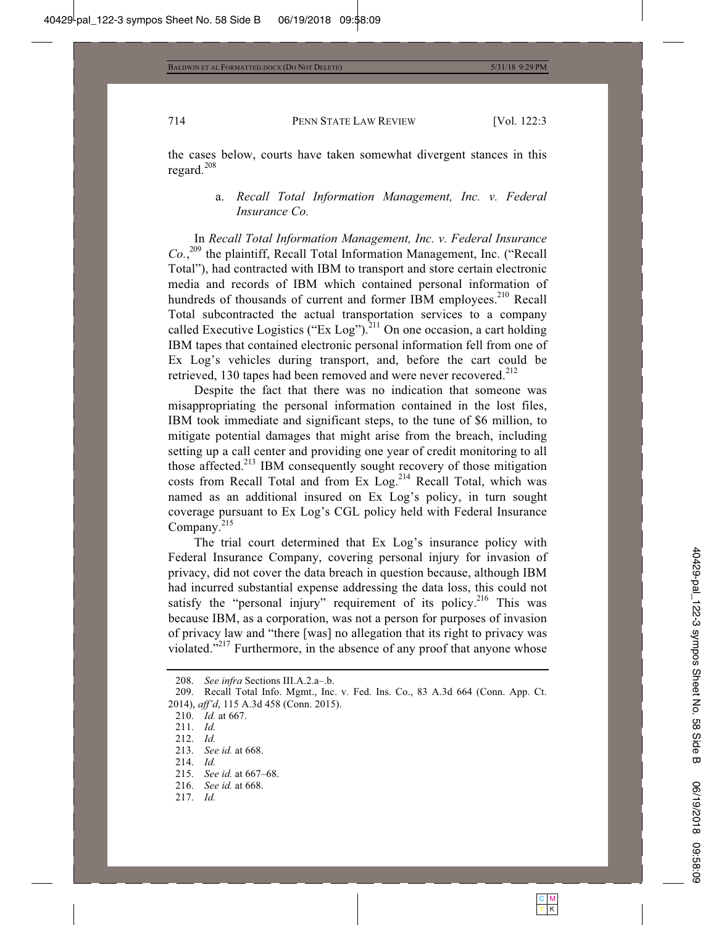the cases below, courts have taken somewhat divergent stances in this regard.<sup>208</sup>

# a. *Recall Total Information Management, Inc. v. Federal Insurance Co.*

In *Recall Total Information Management, Inc. v. Federal Insurance Co.*, 209 the plaintiff, Recall Total Information Management, Inc. ("Recall Total"), had contracted with IBM to transport and store certain electronic media and records of IBM which contained personal information of hundreds of thousands of current and former IBM employees.<sup>210</sup> Recall Total subcontracted the actual transportation services to a company called Executive Logistics ("Ex Log").<sup>211</sup> On one occasion, a cart holding IBM tapes that contained electronic personal information fell from one of Ex Log's vehicles during transport, and, before the cart could be retrieved, 130 tapes had been removed and were never recovered.<sup>212</sup>

Despite the fact that there was no indication that someone was misappropriating the personal information contained in the lost files, IBM took immediate and significant steps, to the tune of \$6 million, to mitigate potential damages that might arise from the breach, including setting up a call center and providing one year of credit monitoring to all those affected.213 IBM consequently sought recovery of those mitigation costs from Recall Total and from Ex  $Log<sub>14</sub>$  Recall Total, which was named as an additional insured on Ex Log's policy, in turn sought coverage pursuant to Ex Log's CGL policy held with Federal Insurance Company.<sup>215</sup>

The trial court determined that Ex Log's insurance policy with Federal Insurance Company, covering personal injury for invasion of privacy, did not cover the data breach in question because, although IBM had incurred substantial expense addressing the data loss, this could not satisfy the "personal injury" requirement of its policy.<sup>216</sup> This was because IBM, as a corporation, was not a person for purposes of invasion of privacy law and "there [was] no allegation that its right to privacy was violated."<sup>217</sup> Furthermore, in the absence of any proof that anyone whose

 <sup>208.</sup> *See infra* Sections III.A.2.a–.b.

 <sup>209.</sup> Recall Total Info. Mgmt., Inc. v. Fed. Ins. Co., 83 A.3d 664 (Conn. App. Ct. 2014), *aff'd*, 115 A.3d 458 (Conn. 2015).

 <sup>210.</sup> *Id.* at 667.

 <sup>211.</sup> *Id.*

 <sup>212.</sup> *Id.*

 <sup>213.</sup> *See id.* at 668.

 <sup>214.</sup> *Id.*

 <sup>215.</sup> *See id.* at 667–68.

 <sup>216.</sup> *See id.* at 668.

 <sup>217.</sup> *Id.*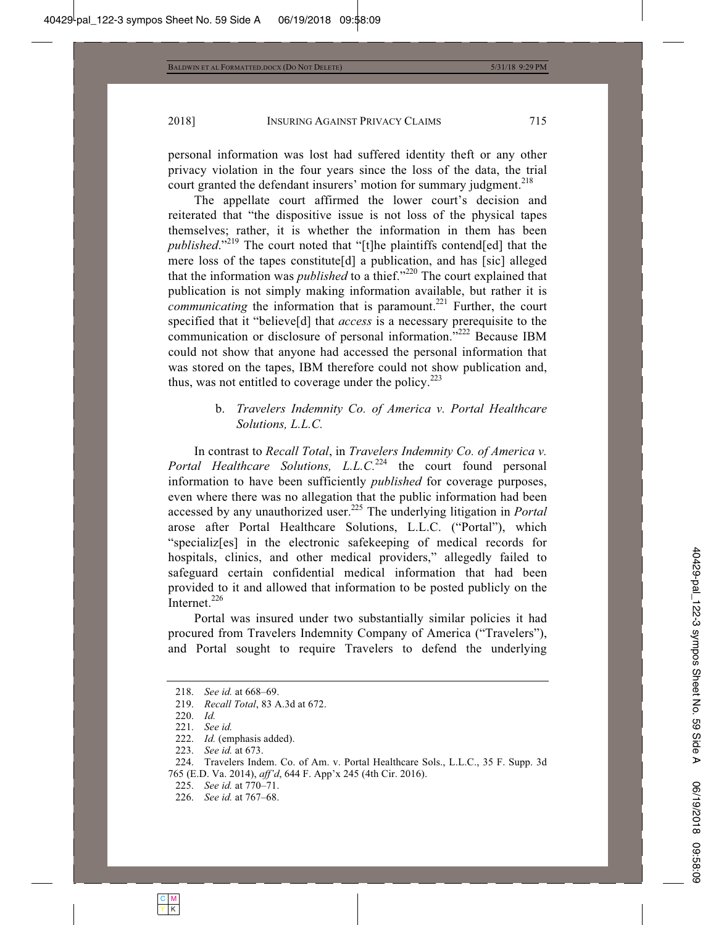personal information was lost had suffered identity theft or any other privacy violation in the four years since the loss of the data, the trial court granted the defendant insurers' motion for summary judgment.<sup>218</sup>

The appellate court affirmed the lower court's decision and reiterated that "the dispositive issue is not loss of the physical tapes themselves; rather, it is whether the information in them has been *published*."219 The court noted that "[t]he plaintiffs contend[ed] that the mere loss of the tapes constitute[d] a publication, and has [sic] alleged that the information was *published* to a thief."<sup>220</sup> The court explained that publication is not simply making information available, but rather it is *communicating* the information that is paramount.<sup>221</sup> Further, the court specified that it "believe[d] that *access* is a necessary prerequisite to the communication or disclosure of personal information."<sup>222</sup> Because IBM could not show that anyone had accessed the personal information that was stored on the tapes, IBM therefore could not show publication and, thus, was not entitled to coverage under the policy.<sup>223</sup>

# b. *Travelers Indemnity Co. of America v. Portal Healthcare Solutions, L.L.C.*

In contrast to *Recall Total*, in *Travelers Indemnity Co. of America v. Portal Healthcare Solutions, L.L.C.*<sup>224</sup> the court found personal information to have been sufficiently *published* for coverage purposes, even where there was no allegation that the public information had been accessed by any unauthorized user.225 The underlying litigation in *Portal* arose after Portal Healthcare Solutions, L.L.C. ("Portal"), which "specializ[es] in the electronic safekeeping of medical records for hospitals, clinics, and other medical providers," allegedly failed to safeguard certain confidential medical information that had been provided to it and allowed that information to be posted publicly on the Internet. $^{226}$ 

Portal was insured under two substantially similar policies it had procured from Travelers Indemnity Company of America ("Travelers"), and Portal sought to require Travelers to defend the underlying

 <sup>218.</sup> *See id.* at 668–69.

 <sup>219.</sup> *Recall Total*, 83 A.3d at 672.

 <sup>220.</sup> *Id.*

 <sup>221.</sup> *See id.*

 <sup>222.</sup> *Id.* (emphasis added).

 <sup>223.</sup> *See id.* at 673.

 <sup>224.</sup> Travelers Indem. Co. of Am. v. Portal Healthcare Sols., L.L.C., 35 F. Supp. 3d 765 (E.D. Va. 2014), *aff'd*, 644 F. App'x 245 (4th Cir. 2016).

 <sup>225.</sup> *See id.* at 770–71.

 <sup>226.</sup> *See id.* at 767–68.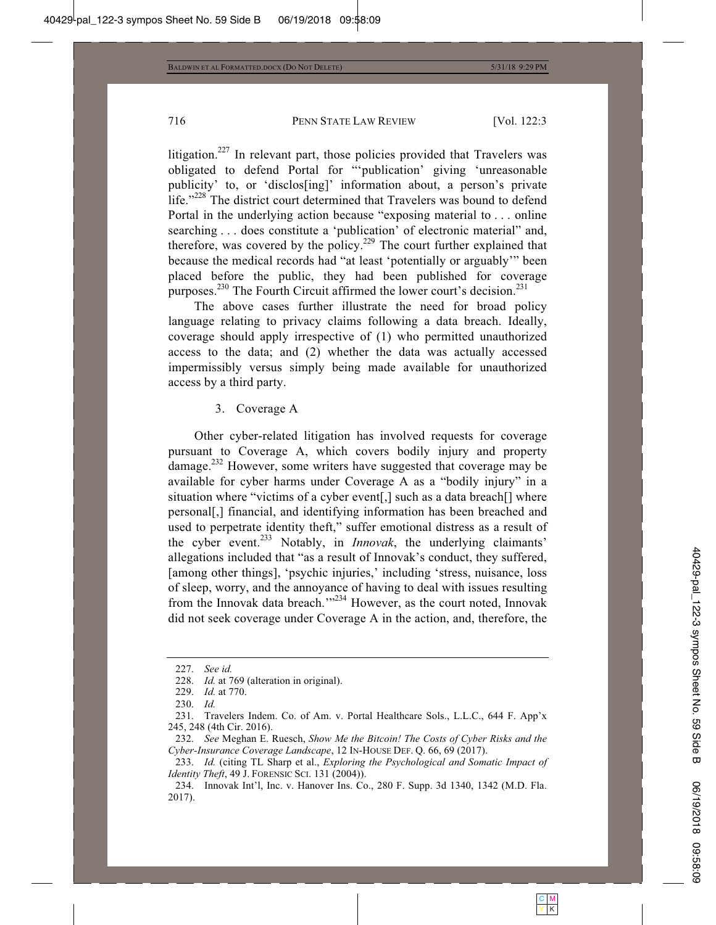litigation.<sup>227</sup> In relevant part, those policies provided that Travelers was obligated to defend Portal for "'publication' giving 'unreasonable publicity' to, or 'disclos[ing]' information about, a person's private life."<sup>228</sup> The district court determined that Travelers was bound to defend Portal in the underlying action because "exposing material to . . . online searching . . . does constitute a 'publication' of electronic material" and, therefore, was covered by the policy.<sup>229</sup> The court further explained that because the medical records had "at least 'potentially or arguably'" been placed before the public, they had been published for coverage purposes.<sup>230</sup> The Fourth Circuit affirmed the lower court's decision.<sup>231</sup>

The above cases further illustrate the need for broad policy language relating to privacy claims following a data breach. Ideally, coverage should apply irrespective of (1) who permitted unauthorized access to the data; and (2) whether the data was actually accessed impermissibly versus simply being made available for unauthorized access by a third party.

#### 3. Coverage A

Other cyber-related litigation has involved requests for coverage pursuant to Coverage A, which covers bodily injury and property damage.232 However, some writers have suggested that coverage may be available for cyber harms under Coverage A as a "bodily injury" in a situation where "victims of a cyber event[,] such as a data breach[] where personal[,] financial, and identifying information has been breached and used to perpetrate identity theft," suffer emotional distress as a result of the cyber event.233 Notably, in *Innovak*, the underlying claimants' allegations included that "as a result of Innovak's conduct, they suffered, [among other things], 'psychic injuries,' including 'stress, nuisance, loss of sleep, worry, and the annoyance of having to deal with issues resulting from the Innovak data breach."<sup>234</sup> However, as the court noted, Innovak did not seek coverage under Coverage A in the action, and, therefore, the

 <sup>227.</sup> *See id.*

 <sup>228.</sup> *Id.* at 769 (alteration in original).

 <sup>229.</sup> *Id.* at 770.

 <sup>230.</sup> *Id.*

 <sup>231.</sup> Travelers Indem. Co. of Am. v. Portal Healthcare Sols., L.L.C., 644 F. App'x 245, 248 (4th Cir. 2016).

 <sup>232.</sup> *See* Meghan E. Ruesch, *Show Me the Bitcoin! The Costs of Cyber Risks and the Cyber-Insurance Coverage Landscape*, 12 IN-HOUSE DEF. Q. 66, 69 (2017).

 <sup>233.</sup> *Id.* (citing TL Sharp et al., *Exploring the Psychological and Somatic Impact of Identity Theft*, 49 J. FORENSIC SCI. 131 (2004)).

 <sup>234.</sup> Innovak Int'l, Inc. v. Hanover Ins. Co., 280 F. Supp. 3d 1340, 1342 (M.D. Fla. 2017).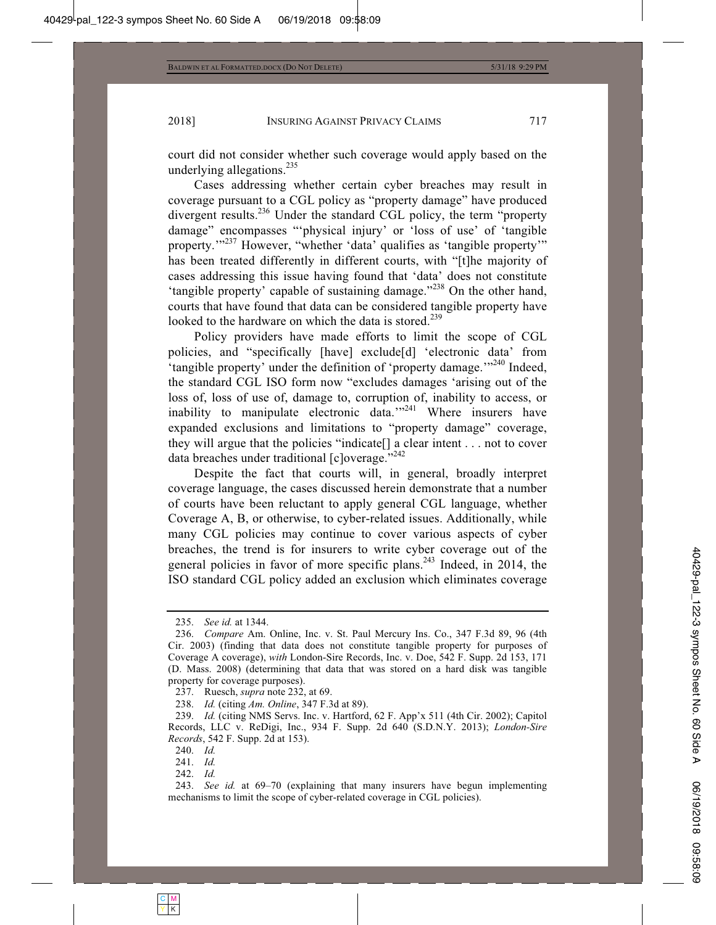court did not consider whether such coverage would apply based on the underlying allegations. $^{235}$ 

Cases addressing whether certain cyber breaches may result in coverage pursuant to a CGL policy as "property damage" have produced divergent results.<sup>236</sup> Under the standard CGL policy, the term "property" damage" encompasses "'physical injury' or 'loss of use' of 'tangible property.'"237 However, "whether 'data' qualifies as 'tangible property'" has been treated differently in different courts, with "[t]he majority of cases addressing this issue having found that 'data' does not constitute 'tangible property' capable of sustaining damage."238 On the other hand, courts that have found that data can be considered tangible property have looked to the hardware on which the data is stored.<sup>239</sup>

Policy providers have made efforts to limit the scope of CGL policies, and "specifically [have] exclude[d] 'electronic data' from 'tangible property' under the definition of 'property damage.'"<sup>240</sup> Indeed, the standard CGL ISO form now "excludes damages 'arising out of the loss of, loss of use of, damage to, corruption of, inability to access, or inability to manipulate electronic data."<sup>241</sup> Where insurers have expanded exclusions and limitations to "property damage" coverage, they will argue that the policies "indicate[] a clear intent . . . not to cover data breaches under traditional [c]overage."<sup>242</sup>

Despite the fact that courts will, in general, broadly interpret coverage language, the cases discussed herein demonstrate that a number of courts have been reluctant to apply general CGL language, whether Coverage A, B, or otherwise, to cyber-related issues. Additionally, while many CGL policies may continue to cover various aspects of cyber breaches, the trend is for insurers to write cyber coverage out of the general policies in favor of more specific plans.<sup>243</sup> Indeed, in 2014, the ISO standard CGL policy added an exclusion which eliminates coverage

 <sup>235.</sup> *See id.* at 1344.

 <sup>236.</sup> *Compare* Am. Online, Inc. v. St. Paul Mercury Ins. Co., 347 F.3d 89, 96 (4th Cir. 2003) (finding that data does not constitute tangible property for purposes of Coverage A coverage), *with* London-Sire Records, Inc. v. Doe, 542 F. Supp. 2d 153, 171 (D. Mass. 2008) (determining that data that was stored on a hard disk was tangible property for coverage purposes).

 <sup>237.</sup> Ruesch, *supra* note 232, at 69.

 <sup>238.</sup> *Id.* (citing *Am. Online*, 347 F.3d at 89).

 <sup>239.</sup> *Id.* (citing NMS Servs. Inc. v. Hartford, 62 F. App'x 511 (4th Cir. 2002); Capitol Records, LLC v. ReDigi, Inc., 934 F. Supp. 2d 640 (S.D.N.Y. 2013); *London-Sire Records*, 542 F. Supp. 2d at 153).

 <sup>240.</sup> *Id.*

 <sup>241.</sup> *Id.*

 <sup>242.</sup> *Id.*

 <sup>243.</sup> *See id.* at 69–70 (explaining that many insurers have begun implementing mechanisms to limit the scope of cyber-related coverage in CGL policies).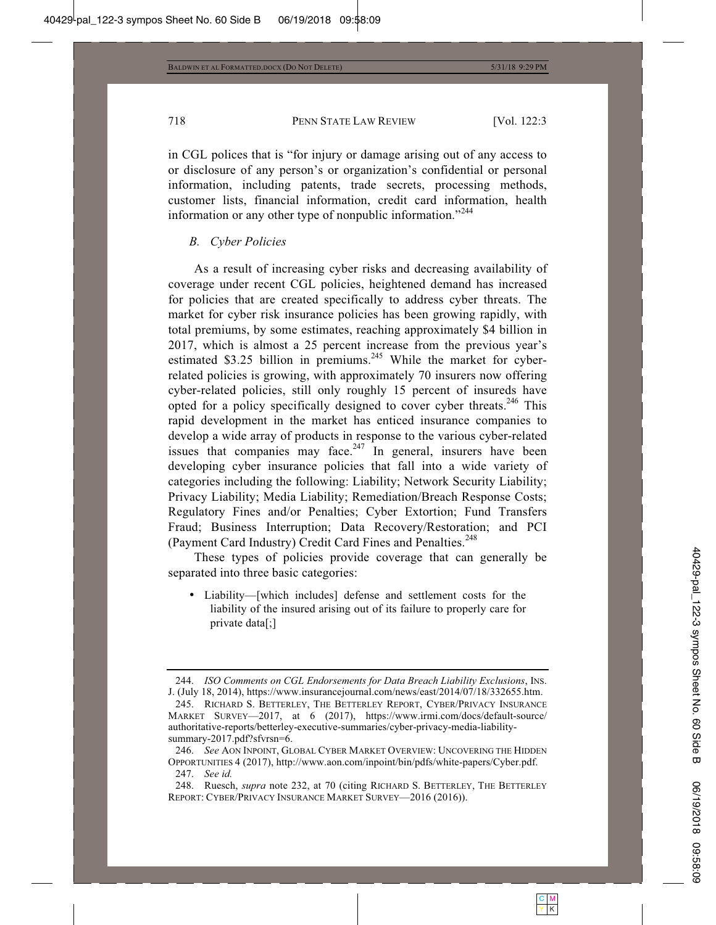in CGL polices that is "for injury or damage arising out of any access to or disclosure of any person's or organization's confidential or personal information, including patents, trade secrets, processing methods, customer lists, financial information, credit card information, health information or any other type of nonpublic information."<sup>244</sup>

#### *B. Cyber Policies*

As a result of increasing cyber risks and decreasing availability of coverage under recent CGL policies, heightened demand has increased for policies that are created specifically to address cyber threats. The market for cyber risk insurance policies has been growing rapidly, with total premiums, by some estimates, reaching approximately \$4 billion in 2017, which is almost a 25 percent increase from the previous year's estimated \$3.25 billion in premiums.<sup>245</sup> While the market for cyberrelated policies is growing, with approximately 70 insurers now offering cyber-related policies, still only roughly 15 percent of insureds have opted for a policy specifically designed to cover cyber threats.<sup>246</sup> This rapid development in the market has enticed insurance companies to develop a wide array of products in response to the various cyber-related issues that companies may face. $247$  In general, insurers have been developing cyber insurance policies that fall into a wide variety of categories including the following: Liability; Network Security Liability; Privacy Liability; Media Liability; Remediation/Breach Response Costs; Regulatory Fines and/or Penalties; Cyber Extortion; Fund Transfers Fraud; Business Interruption; Data Recovery/Restoration; and PCI (Payment Card Industry) Credit Card Fines and Penalties.<sup>248</sup>

These types of policies provide coverage that can generally be separated into three basic categories:

• Liability—[which includes] defense and settlement costs for the liability of the insured arising out of its failure to properly care for private data[;]

 <sup>244.</sup> *ISO Comments on CGL Endorsements for Data Breach Liability Exclusions*, INS. J. (July 18, 2014), https://www.insurancejournal.com/news/east/2014/07/18/332655.htm.

 <sup>245.</sup> RICHARD S. BETTERLEY, THE BETTERLEY REPORT, CYBER/PRIVACY INSURANCE MARKET SURVEY—2017, at 6 (2017), https://www.irmi.com/docs/default-source/ authoritative-reports/betterley-executive-summaries/cyber-privacy-media-liabilitysummary-2017.pdf?sfvrsn=6.

 <sup>246.</sup> *See* AON INPOINT, GLOBAL CYBER MARKET OVERVIEW: UNCOVERING THE HIDDEN OPPORTUNITIES 4 (2017), http://www.aon.com/inpoint/bin/pdfs/white-papers/Cyber.pdf.

 <sup>247.</sup> *See id.*

 <sup>248.</sup> Ruesch, *supra* note 232, at 70 (citing RICHARD S. BETTERLEY, THE BETTERLEY REPORT: CYBER/PRIVACY INSURANCE MARKET SURVEY—2016 (2016)).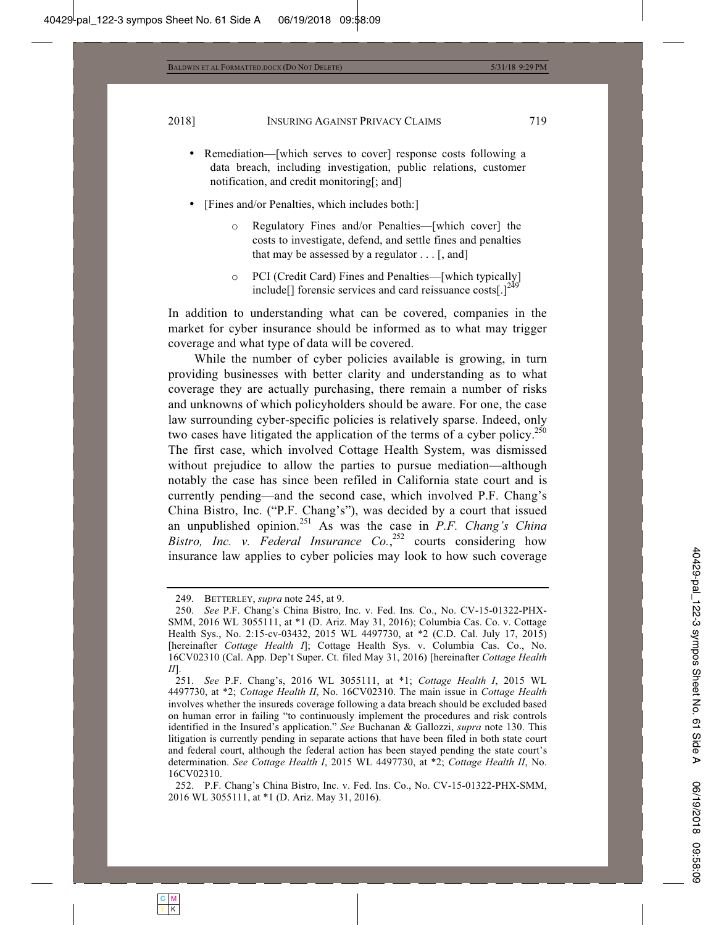- Remediation—[which serves to cover] response costs following a data breach, including investigation, public relations, customer notification, and credit monitoring[; and]
- [Fines and/or Penalties, which includes both:]
	- o Regulatory Fines and/or Penalties—[which cover] the costs to investigate, defend, and settle fines and penalties that may be assessed by a regulator . . . [, and]
	- o PCI (Credit Card) Fines and Penalties—[which typically] include<sup>[]</sup> forensic services and card reissuance costs<sup>[1]<sup>24</sup></sup>

In addition to understanding what can be covered, companies in the market for cyber insurance should be informed as to what may trigger coverage and what type of data will be covered.

While the number of cyber policies available is growing, in turn providing businesses with better clarity and understanding as to what coverage they are actually purchasing, there remain a number of risks and unknowns of which policyholders should be aware. For one, the case law surrounding cyber-specific policies is relatively sparse. Indeed, only two cases have litigated the application of the terms of a cyber policy.<sup>250</sup> The first case, which involved Cottage Health System, was dismissed without prejudice to allow the parties to pursue mediation—although notably the case has since been refiled in California state court and is currently pending—and the second case, which involved P.F. Chang's China Bistro, Inc. ("P.F. Chang's"), was decided by a court that issued an unpublished opinion.251 As was the case in *P.F. Chang's China*  Bistro, Inc. v. Federal Insurance Co.,<sup>252</sup> courts considering how insurance law applies to cyber policies may look to how such coverage

 <sup>249.</sup> BETTERLEY, *supra* note 245, at 9.

 <sup>250.</sup> *See* P.F. Chang's China Bistro, Inc. v. Fed. Ins. Co., No. CV-15-01322-PHX-SMM, 2016 WL 3055111, at \*1 (D. Ariz. May 31, 2016); Columbia Cas. Co. v. Cottage Health Sys., No. 2:15-cv-03432, 2015 WL 4497730, at \*2 (C.D. Cal. July 17, 2015) [hereinafter *Cottage Health I*]; Cottage Health Sys. v. Columbia Cas. Co., No. 16CV02310 (Cal. App. Dep't Super. Ct. filed May 31, 2016) [hereinafter *Cottage Health II*].

 <sup>251.</sup> *See* P.F. Chang's, 2016 WL 3055111, at \*1; *Cottage Health I*, 2015 WL 4497730, at \*2; *Cottage Health II*, No. 16CV02310. The main issue in *Cottage Health* involves whether the insureds coverage following a data breach should be excluded based on human error in failing "to continuously implement the procedures and risk controls identified in the Insured's application." *See* Buchanan & Gallozzi, *supra* note 130. This litigation is currently pending in separate actions that have been filed in both state court and federal court, although the federal action has been stayed pending the state court's determination. *See Cottage Health I*, 2015 WL 4497730, at \*2; *Cottage Health II*, No. 16CV02310.

 <sup>252.</sup> P.F. Chang's China Bistro, Inc. v. Fed. Ins. Co., No. CV-15-01322-PHX-SMM, 2016 WL 3055111, at \*1 (D. Ariz. May 31, 2016).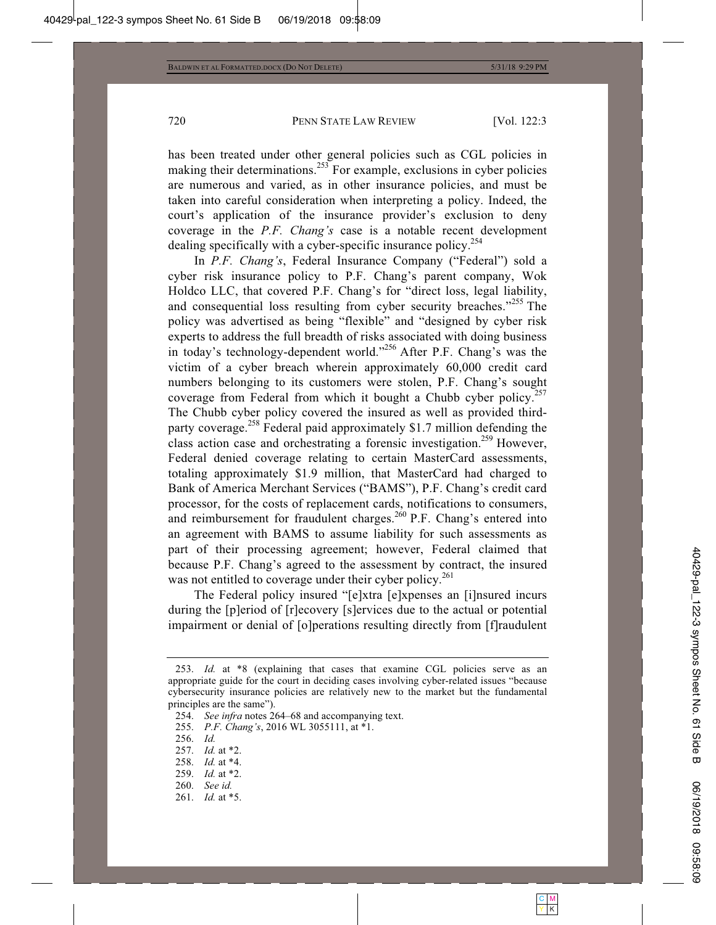has been treated under other general policies such as CGL policies in making their determinations.<sup>253</sup> For example, exclusions in cyber policies are numerous and varied, as in other insurance policies, and must be taken into careful consideration when interpreting a policy. Indeed, the court's application of the insurance provider's exclusion to deny coverage in the *P.F. Chang's* case is a notable recent development dealing specifically with a cyber-specific insurance policy.<sup>254</sup>

In *P.F. Chang's*, Federal Insurance Company ("Federal") sold a cyber risk insurance policy to P.F. Chang's parent company, Wok Holdco LLC, that covered P.F. Chang's for "direct loss, legal liability, and consequential loss resulting from cyber security breaches."255 The policy was advertised as being "flexible" and "designed by cyber risk experts to address the full breadth of risks associated with doing business in today's technology-dependent world."256 After P.F. Chang's was the victim of a cyber breach wherein approximately 60,000 credit card numbers belonging to its customers were stolen, P.F. Chang's sought coverage from Federal from which it bought a Chubb cyber policy.<sup>257</sup> The Chubb cyber policy covered the insured as well as provided thirdparty coverage.<sup>258</sup> Federal paid approximately \$1.7 million defending the class action case and orchestrating a forensic investigation.<sup>259</sup> However, Federal denied coverage relating to certain MasterCard assessments, totaling approximately \$1.9 million, that MasterCard had charged to Bank of America Merchant Services ("BAMS"), P.F. Chang's credit card processor, for the costs of replacement cards, notifications to consumers, and reimbursement for fraudulent charges.<sup>260</sup> P.F. Chang's entered into an agreement with BAMS to assume liability for such assessments as part of their processing agreement; however, Federal claimed that because P.F. Chang's agreed to the assessment by contract, the insured was not entitled to coverage under their cyber policy.<sup>261</sup>

The Federal policy insured "[e]xtra [e]xpenses an [i]nsured incurs during the [p]eriod of [r]ecovery [s]ervices due to the actual or potential impairment or denial of [o]perations resulting directly from [f]raudulent

- 255. *P.F. Chang's*, 2016 WL 3055111, at \*1.
- 256. *Id.*

- 258. *Id.* at \*4.
- 259. *Id.* at \*2.
- 260. *See id.*
- 261. *Id.* at \*5.

 <sup>253.</sup> *Id.* at \*8 (explaining that cases that examine CGL policies serve as an appropriate guide for the court in deciding cases involving cyber-related issues "because cybersecurity insurance policies are relatively new to the market but the fundamental principles are the same").

 <sup>254.</sup> *See infra* notes 264–68 and accompanying text.

 <sup>257.</sup> *Id.* at \*2.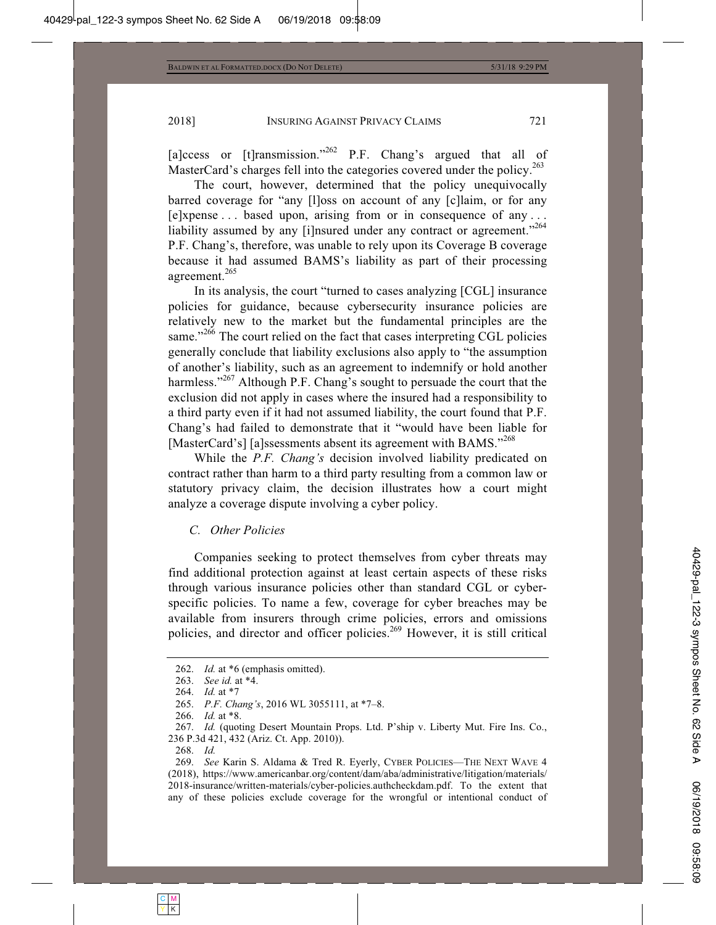[a]ccess or [t]ransmission."<sup>262</sup> P.F. Chang's argued that all of MasterCard's charges fell into the categories covered under the policy.<sup>263</sup>

The court, however, determined that the policy unequivocally barred coverage for "any [l]oss on account of any [c]laim, or for any [e]xpense . . . based upon, arising from or in consequence of any . . . liability assumed by any [i]nsured under any contract or agreement."<sup>264</sup> P.F. Chang's, therefore, was unable to rely upon its Coverage B coverage because it had assumed BAMS's liability as part of their processing agreement.265

In its analysis, the court "turned to cases analyzing [CGL] insurance policies for guidance, because cybersecurity insurance policies are relatively new to the market but the fundamental principles are the same."<sup>266</sup> The court relied on the fact that cases interpreting CGL policies generally conclude that liability exclusions also apply to "the assumption of another's liability, such as an agreement to indemnify or hold another harmless."<sup>267</sup> Although P.F. Chang's sought to persuade the court that the exclusion did not apply in cases where the insured had a responsibility to a third party even if it had not assumed liability, the court found that P.F. Chang's had failed to demonstrate that it "would have been liable for [MasterCard's] [a]ssessments absent its agreement with BAMS."<sup>268</sup>

While the *P.F. Chang's* decision involved liability predicated on contract rather than harm to a third party resulting from a common law or statutory privacy claim, the decision illustrates how a court might analyze a coverage dispute involving a cyber policy.

#### *C. Other Policies*

Companies seeking to protect themselves from cyber threats may find additional protection against at least certain aspects of these risks through various insurance policies other than standard CGL or cyberspecific policies. To name a few, coverage for cyber breaches may be available from insurers through crime policies, errors and omissions policies, and director and officer policies.<sup>269</sup> However, it is still critical

 <sup>262.</sup> *Id.* at \*6 (emphasis omitted).

 <sup>263.</sup> *See id.* at \*4.

 <sup>264.</sup> *Id.* at \*7

 <sup>265.</sup> *P.F. Chang's*, 2016 WL 3055111, at \*7–8.

 <sup>266.</sup> *Id.* at \*8.

 <sup>267.</sup> *Id.* (quoting Desert Mountain Props. Ltd. P'ship v. Liberty Mut. Fire Ins. Co., 236 P.3d 421, 432 (Ariz. Ct. App. 2010)).

 <sup>268.</sup> *Id.*

 <sup>269.</sup> *See* Karin S. Aldama & Tred R. Eyerly, CYBER POLICIES—THE NEXT WAVE 4 (2018), https://www.americanbar.org/content/dam/aba/administrative/litigation/materials/ 2018-insurance/written-materials/cyber-policies.authcheckdam.pdf. To the extent that any of these policies exclude coverage for the wrongful or intentional conduct of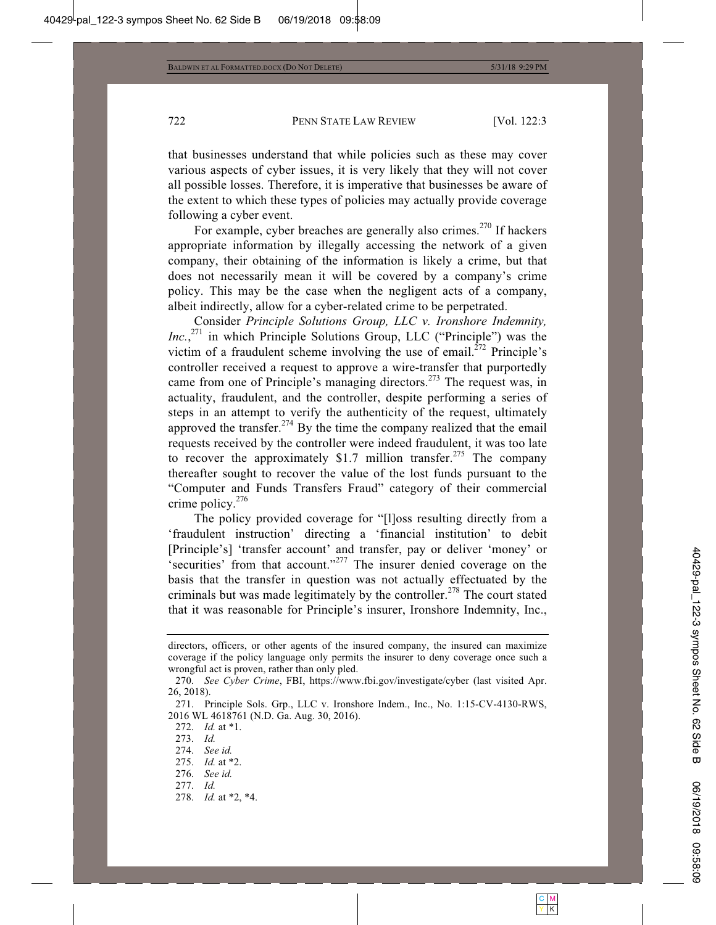that businesses understand that while policies such as these may cover various aspects of cyber issues, it is very likely that they will not cover all possible losses. Therefore, it is imperative that businesses be aware of the extent to which these types of policies may actually provide coverage following a cyber event.

For example, cyber breaches are generally also crimes.<sup>270</sup> If hackers appropriate information by illegally accessing the network of a given company, their obtaining of the information is likely a crime, but that does not necessarily mean it will be covered by a company's crime policy. This may be the case when the negligent acts of a company, albeit indirectly, allow for a cyber-related crime to be perpetrated.

Consider *Principle Solutions Group, LLC v. Ironshore Indemnity, Inc.*, 271 in which Principle Solutions Group, LLC ("Principle") was the victim of a fraudulent scheme involving the use of email.<sup> $272$ </sup> Principle's controller received a request to approve a wire-transfer that purportedly came from one of Principle's managing directors.<sup>273</sup> The request was, in actuality, fraudulent, and the controller, despite performing a series of steps in an attempt to verify the authenticity of the request, ultimately approved the transfer.<sup>274</sup> By the time the company realized that the email requests received by the controller were indeed fraudulent, it was too late to recover the approximately \$1.7 million transfer.<sup>275</sup> The company thereafter sought to recover the value of the lost funds pursuant to the "Computer and Funds Transfers Fraud" category of their commercial crime policy.<sup>276</sup>

The policy provided coverage for "[l]oss resulting directly from a 'fraudulent instruction' directing a 'financial institution' to debit [Principle's] 'transfer account' and transfer, pay or deliver 'money' or 'securities' from that account."277 The insurer denied coverage on the basis that the transfer in question was not actually effectuated by the criminals but was made legitimately by the controller.<sup>278</sup> The court stated that it was reasonable for Principle's insurer, Ironshore Indemnity, Inc.,

- 276. *See id.*
- 277. *Id.*
- 278. *Id.* at \*2, \*4.

directors, officers, or other agents of the insured company, the insured can maximize coverage if the policy language only permits the insurer to deny coverage once such a wrongful act is proven, rather than only pled.

 <sup>270.</sup> *See Cyber Crime*, FBI, https://www.fbi.gov/investigate/cyber (last visited Apr. 26, 2018).

 <sup>271.</sup> Principle Sols. Grp., LLC v. Ironshore Indem., Inc., No. 1:15-CV-4130-RWS, 2016 WL 4618761 (N.D. Ga. Aug. 30, 2016).

 <sup>272.</sup> *Id.* at \*1.

 <sup>273.</sup> *Id.*

 <sup>274.</sup> *See id.*

 <sup>275.</sup> *Id.* at \*2.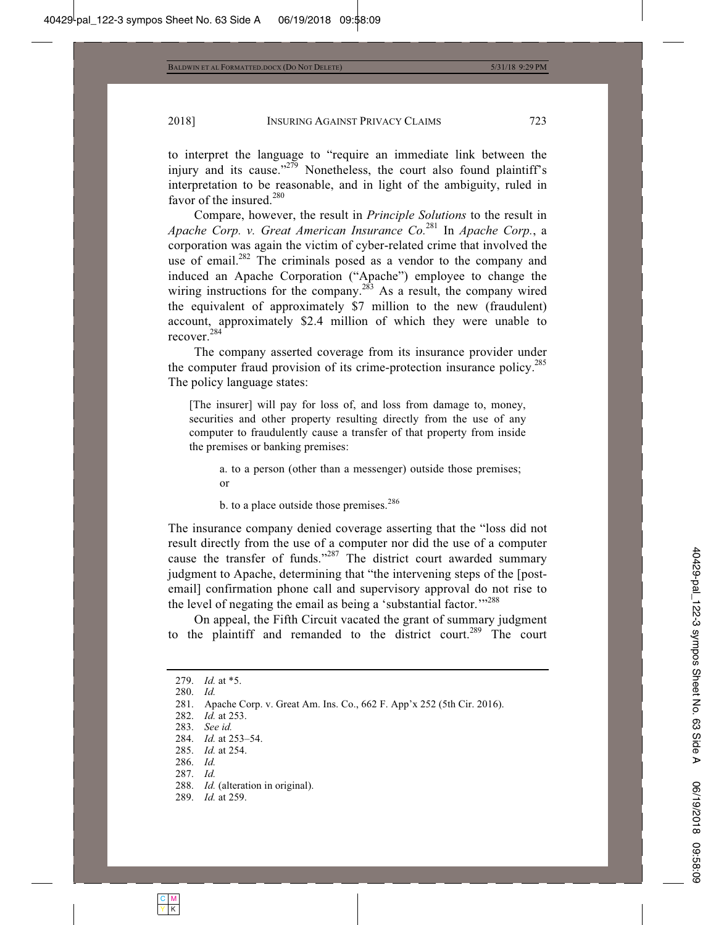to interpret the language to "require an immediate link between the injury and its cause."<sup>279</sup> Nonetheless, the court also found plaintiff's interpretation to be reasonable, and in light of the ambiguity, ruled in favor of the insured.<sup>280</sup>

Compare, however, the result in *Principle Solutions* to the result in *Apache Corp. v. Great American Insurance Co.*281 In *Apache Corp.*, a corporation was again the victim of cyber-related crime that involved the use of email.<sup>282</sup> The criminals posed as a vendor to the company and induced an Apache Corporation ("Apache") employee to change the wiring instructions for the company.<sup>283</sup> As a result, the company wired the equivalent of approximately \$7 million to the new (fraudulent) account, approximately \$2.4 million of which they were unable to recover.<sup>284</sup>

The company asserted coverage from its insurance provider under the computer fraud provision of its crime-protection insurance policy.<sup>285</sup> The policy language states:

[The insurer] will pay for loss of, and loss from damage to, money, securities and other property resulting directly from the use of any computer to fraudulently cause a transfer of that property from inside the premises or banking premises:

a. to a person (other than a messenger) outside those premises; or

b. to a place outside those premises. $286$ 

The insurance company denied coverage asserting that the "loss did not result directly from the use of a computer nor did the use of a computer cause the transfer of funds."<sup>287</sup> The district court awarded summary judgment to Apache, determining that "the intervening steps of the [postemail] confirmation phone call and supervisory approval do not rise to the level of negating the email as being a 'substantial factor."<sup>288</sup>

On appeal, the Fifth Circuit vacated the grant of summary judgment to the plaintiff and remanded to the district court.<sup>289</sup> The court

```
 279. Id. at *5.
```
280. *Id.*

- 282. *Id.* at 253.
- 283. *See id.*

- 287. *Id.*
- 288. *Id.* (alteration in original).
- 289. *Id.* at 259.

 <sup>281.</sup> Apache Corp. v. Great Am. Ins. Co., 662 F. App'x 252 (5th Cir. 2016).

 <sup>284.</sup> *Id.* at 253–54.

 <sup>285.</sup> *Id.* at 254.

 <sup>286.</sup> *Id.*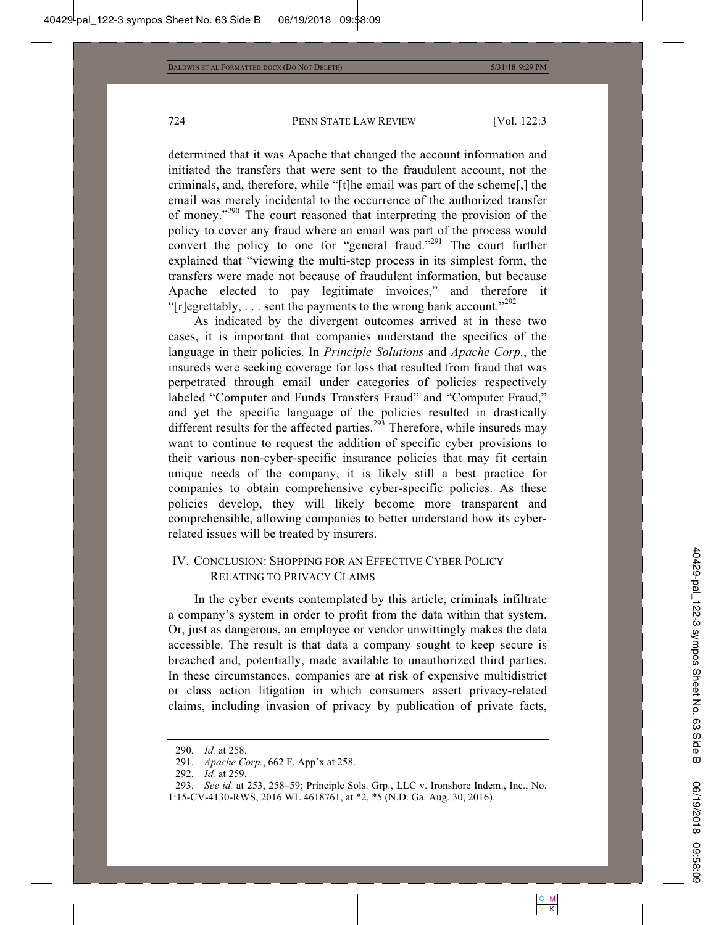determined that it was Apache that changed the account information and initiated the transfers that were sent to the fraudulent account, not the criminals, and, therefore, while "[t]he email was part of the scheme[,] the email was merely incidental to the occurrence of the authorized transfer of money."290 The court reasoned that interpreting the provision of the policy to cover any fraud where an email was part of the process would convert the policy to one for "general fraud."<sup>291</sup> The court further explained that "viewing the multi-step process in its simplest form, the transfers were made not because of fraudulent information, but because Apache elected to pay legitimate invoices," and therefore it "[r]egrettably,  $\dots$  sent the payments to the wrong bank account."<sup>292</sup>

As indicated by the divergent outcomes arrived at in these two cases, it is important that companies understand the specifics of the language in their policies. In *Principle Solutions* and *Apache Corp.*, the insureds were seeking coverage for loss that resulted from fraud that was perpetrated through email under categories of policies respectively labeled "Computer and Funds Transfers Fraud" and "Computer Fraud," and yet the specific language of the policies resulted in drastically different results for the affected parties.<sup>293</sup> Therefore, while insureds may want to continue to request the addition of specific cyber provisions to their various non-cyber-specific insurance policies that may fit certain unique needs of the company, it is likely still a best practice for companies to obtain comprehensive cyber-specific policies. As these policies develop, they will likely become more transparent and comprehensible, allowing companies to better understand how its cyberrelated issues will be treated by insurers.

# IV. CONCLUSION: SHOPPING FOR AN EFFECTIVE CYBER POLICY RELATING TO PRIVACY CLAIMS

In the cyber events contemplated by this article, criminals infiltrate a company's system in order to profit from the data within that system. Or, just as dangerous, an employee or vendor unwittingly makes the data accessible. The result is that data a company sought to keep secure is breached and, potentially, made available to unauthorized third parties. In these circumstances, companies are at risk of expensive multidistrict or class action litigation in which consumers assert privacy-related claims, including invasion of privacy by publication of private facts,

 <sup>290.</sup> *Id.* at 258.

 <sup>291.</sup> *Apache Corp.*, 662 F. App'x at 258.

 <sup>292.</sup> *Id.* at 259.

 <sup>293.</sup> *See id.* at 253, 258–59; Principle Sols. Grp., LLC v. Ironshore Indem., Inc., No. 1:15-CV-4130-RWS, 2016 WL 4618761, at \*2, \*5 (N.D. Ga. Aug. 30, 2016).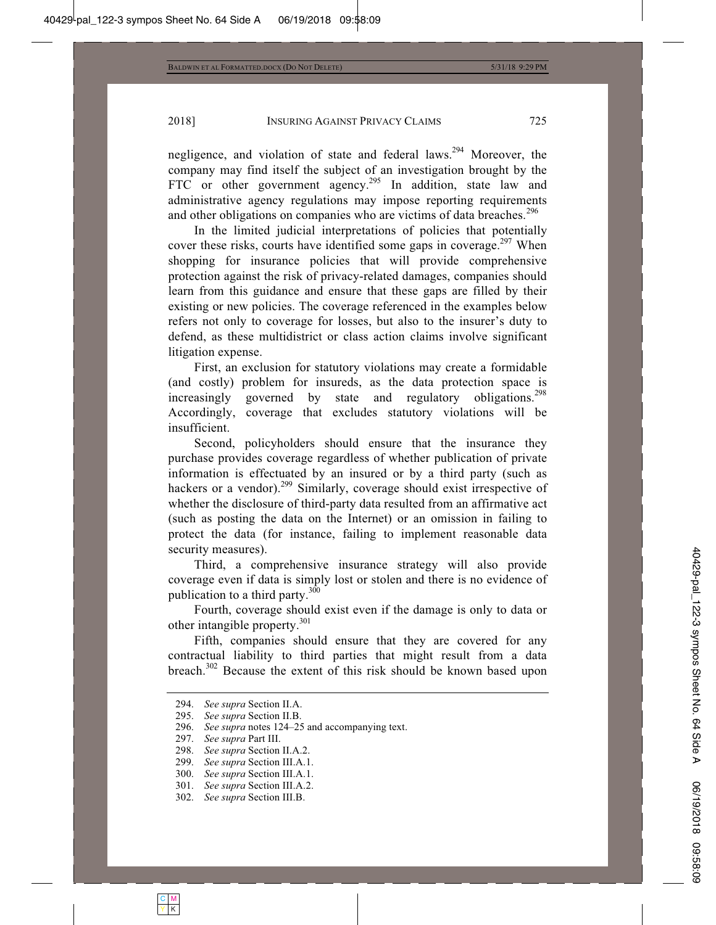negligence, and violation of state and federal laws.294 Moreover, the company may find itself the subject of an investigation brought by the FTC or other government agency.<sup>295</sup> In addition, state law and administrative agency regulations may impose reporting requirements and other obligations on companies who are victims of data breaches.<sup>296</sup>

In the limited judicial interpretations of policies that potentially cover these risks, courts have identified some gaps in coverage.<sup>297</sup> When shopping for insurance policies that will provide comprehensive protection against the risk of privacy-related damages, companies should learn from this guidance and ensure that these gaps are filled by their existing or new policies. The coverage referenced in the examples below refers not only to coverage for losses, but also to the insurer's duty to defend, as these multidistrict or class action claims involve significant litigation expense.

First, an exclusion for statutory violations may create a formidable (and costly) problem for insureds, as the data protection space is increasingly governed by state and regulatory obligations.<sup>298</sup> Accordingly, coverage that excludes statutory violations will be insufficient.

Second, policyholders should ensure that the insurance they purchase provides coverage regardless of whether publication of private information is effectuated by an insured or by a third party (such as hackers or a vendor).<sup>299</sup> Similarly, coverage should exist irrespective of whether the disclosure of third-party data resulted from an affirmative act (such as posting the data on the Internet) or an omission in failing to protect the data (for instance, failing to implement reasonable data security measures).

Third, a comprehensive insurance strategy will also provide coverage even if data is simply lost or stolen and there is no evidence of publication to a third party. $300$ 

Fourth, coverage should exist even if the damage is only to data or other intangible property.<sup>301</sup>

Fifth, companies should ensure that they are covered for any contractual liability to third parties that might result from a data breach.<sup>302</sup> Because the extent of this risk should be known based upon

 <sup>294.</sup> *See supra* Section II.A.

 <sup>295.</sup> *See supra* Section II.B.

 <sup>296.</sup> *See supra* notes 124–25 and accompanying text.

 <sup>297.</sup> *See supra* Part III.

 <sup>298.</sup> *See supra* Section II.A.2.

 <sup>299.</sup> *See supra* Section III.A.1.

 <sup>300.</sup> *See supra* Section III.A.1.

 <sup>301.</sup> *See supra* Section III.A.2.

 <sup>302.</sup> *See supra* Section III.B.